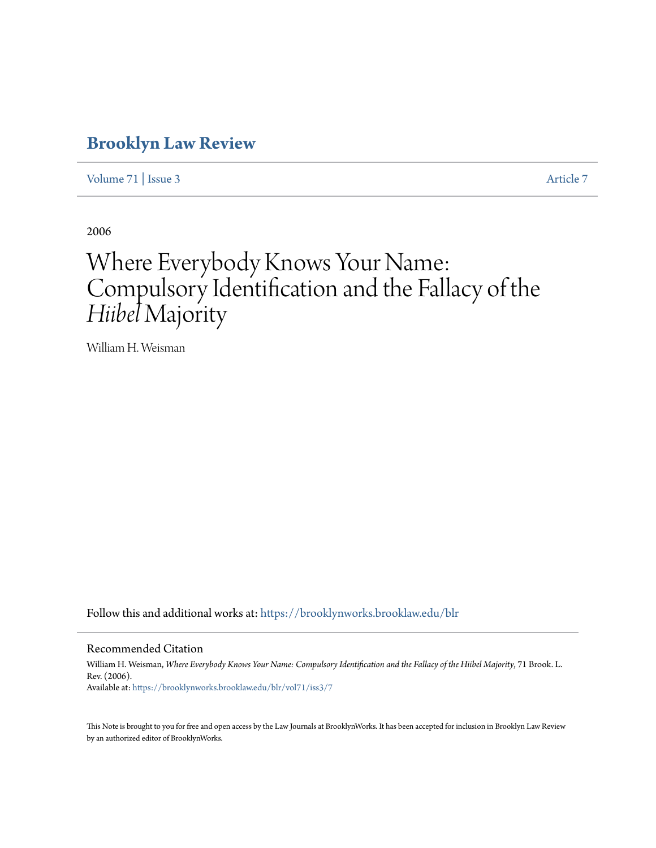# **[Brooklyn Law Review](https://brooklynworks.brooklaw.edu/blr?utm_source=brooklynworks.brooklaw.edu%2Fblr%2Fvol71%2Fiss3%2F7&utm_medium=PDF&utm_campaign=PDFCoverPages)**

[Volume 71](https://brooklynworks.brooklaw.edu/blr/vol71?utm_source=brooklynworks.brooklaw.edu%2Fblr%2Fvol71%2Fiss3%2F7&utm_medium=PDF&utm_campaign=PDFCoverPages) | [Issue 3](https://brooklynworks.brooklaw.edu/blr/vol71/iss3?utm_source=brooklynworks.brooklaw.edu%2Fblr%2Fvol71%2Fiss3%2F7&utm_medium=PDF&utm_campaign=PDFCoverPages) [Article 7](https://brooklynworks.brooklaw.edu/blr/vol71/iss3/7?utm_source=brooklynworks.brooklaw.edu%2Fblr%2Fvol71%2Fiss3%2F7&utm_medium=PDF&utm_campaign=PDFCoverPages)

2006

# Where Everybody Knows Your Name: Compulsory Identification and the Fallacy of the *Hiibel* Majority

William H. Weisman

Follow this and additional works at: [https://brooklynworks.brooklaw.edu/blr](https://brooklynworks.brooklaw.edu/blr?utm_source=brooklynworks.brooklaw.edu%2Fblr%2Fvol71%2Fiss3%2F7&utm_medium=PDF&utm_campaign=PDFCoverPages)

#### Recommended Citation

William H. Weisman, *Where Everybody Knows Your Name: Compulsory Identification and the Fallacy of the Hiibel Majority, 71 Brook. L.* Rev. (2006). Available at: [https://brooklynworks.brooklaw.edu/blr/vol71/iss3/7](https://brooklynworks.brooklaw.edu/blr/vol71/iss3/7?utm_source=brooklynworks.brooklaw.edu%2Fblr%2Fvol71%2Fiss3%2F7&utm_medium=PDF&utm_campaign=PDFCoverPages)

This Note is brought to you for free and open access by the Law Journals at BrooklynWorks. It has been accepted for inclusion in Brooklyn Law Review by an authorized editor of BrooklynWorks.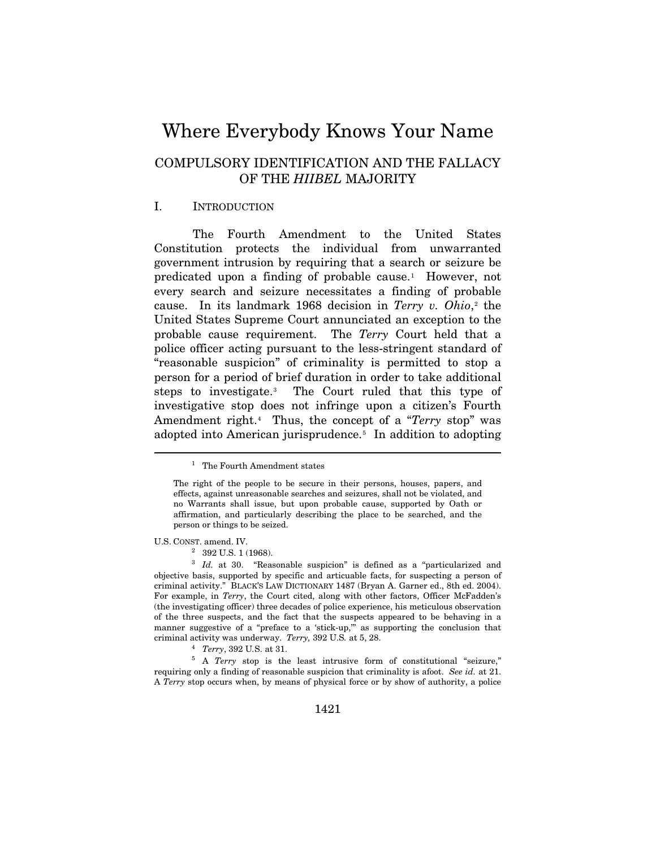# Where Everybody Knows Your Name

# COMPULSORY IDENTIFICATION AND THE FALLACY OF THE *HIIBEL* MAJORITY

#### I. INTRODUCTION

The Fourth Amendment to the United States Constitution protects the individual from unwarranted government intrusion by requiring that a search or seizure be predicated upon a finding of probable cause.<sup>1</sup> However, not every search and seizure necessitates a finding of probable cause. In its landmark 1968 decision in *Terry v. Ohio*,<sup>[2](#page-1-1)</sup> the United States Supreme Court annunciated an exception to the probable cause requirement. The *Terry* Court held that a police officer acting pursuant to the less-stringent standard of "reasonable suspicion" of criminality is permitted to stop a person for a period of brief duration in order to take additional steps to investigate.[3](#page-1-2) The Court ruled that this type of investigative stop does not infringe upon a citizen's Fourth Amendment right.[4](#page-1-3) Thus, the concept of a "*Terry* stop" was adopted into American jurisprudence.<sup>5</sup> In addition to adopting

U.S. CONST. amend. IV.

<span id="page-1-0"></span> $\overline{a}$ 

2 392 U.S. 1 (1968).

<sup>&</sup>lt;sup>1</sup> The Fourth Amendment states

The right of the people to be secure in their persons, houses, papers, and effects, against unreasonable searches and seizures, shall not be violated, and no Warrants shall issue, but upon probable cause, supported by Oath or affirmation, and particularly describing the place to be searched, and the person or things to be seized.

<span id="page-1-2"></span><span id="page-1-1"></span><sup>&</sup>lt;sup>3</sup> *Id.* at 30. "Reasonable suspicion" is defined as a "particularized and objective basis, supported by specific and articuable facts, for suspecting a person of criminal activity." BLACK'S LAW DICTIONARY 1487 (Bryan A. Garner ed., 8th ed. 2004). For example, in *Terry*, the Court cited, along with other factors, Officer McFadden's (the investigating officer) three decades of police experience, his meticulous observation of the three suspects, and the fact that the suspects appeared to be behaving in a manner suggestive of a "preface to a 'stick-up,'" as supporting the conclusion that criminal activity was underway. *Terry,* 392 U.S*.* at 5, 28. 4 *Terry*, 392 U*.*S. at 31. 5 A *Terry* stop is the least intrusive form of constitutional "seizure,"

<span id="page-1-4"></span><span id="page-1-3"></span>requiring only a finding of reasonable suspicion that criminality is afoot. *See id.* at 21. A *Terry* stop occurs when, by means of physical force or by show of authority, a police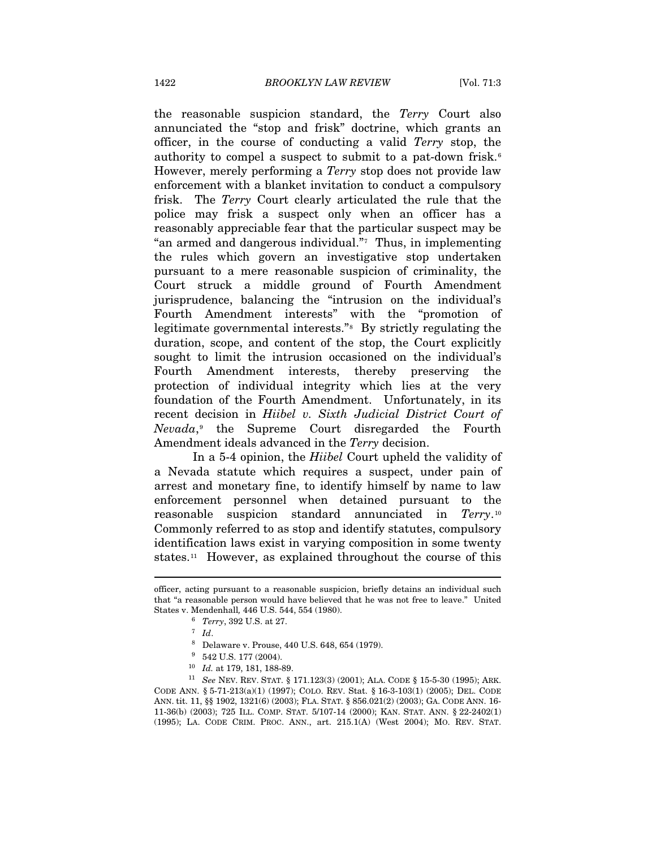the reasonable suspicion standard, the *Terry* Court also annunciated the "stop and frisk" doctrine, which grants an officer, in the course of conducting a valid *Terry* stop, the authority to compel a suspect to submit to a pat-down frisk.<sup>[6](#page-2-0)</sup> However, merely performing a *Terry* stop does not provide law enforcement with a blanket invitation to conduct a compulsory frisk. The *Terry* Court clearly articulated the rule that the police may frisk a suspect only when an officer has a reasonably appreciable fear that the particular suspect may be "an armed and dangerous individual." $\tau$  Thus, in implementing the rules which govern an investigative stop undertaken pursuant to a mere reasonable suspicion of criminality, the Court struck a middle ground of Fourth Amendment jurisprudence, balancing the "intrusion on the individual's Fourth Amendment interests" with the "promotion of legitimate governmental interests."[8](#page-2-2) By strictly regulating the duration, scope, and content of the stop, the Court explicitly sought to limit the intrusion occasioned on the individual's Fourth Amendment interests, thereby preserving the protection of individual integrity which lies at the very foundation of the Fourth Amendment. Unfortunately, in its recent decision in *Hiibel v. Sixth Judicial District Court of Nevada*,[9](#page-2-3) the Supreme Court disregarded the Fourth Amendment ideals advanced in the *Terry* decision.

In a 5-4 opinion, the *Hiibel* Court upheld the validity of a Nevada statute which requires a suspect, under pain of arrest and monetary fine, to identify himself by name to law enforcement personnel when detained pursuant to the reasonable suspicion standard annunciated in *Terry*.[10](#page-2-4) Commonly referred to as stop and identify statutes, compulsory identification laws exist in varying composition in some twenty states.[11](#page-2-5) However, as explained throughout the course of this

<span id="page-2-0"></span>officer, acting pursuant to a reasonable suspicion, briefly detains an individual such that "a reasonable person would have believed that he was not free to leave." United States v. Mendenhall, 446 U.S. 544, 554 (1980).<br>
<sup>6</sup> *Terry*, 392 U.S. at 27.<br>
<sup>7</sup> *Id.* 8 Delaware v. Prouse, 440 U.S. 648, 654 (1979).

<sup>&</sup>lt;sup>9</sup> 542 U.S. 177 (2004).

<span id="page-2-5"></span><span id="page-2-4"></span><span id="page-2-3"></span><span id="page-2-2"></span><span id="page-2-1"></span><sup>10</sup> *Id.* at 179, 181, 188-89.<br><sup>11</sup> See NEV. REV. STAT. § 171.123(3) (2001); ALA. CODE § 15-5-30 (1995); ARK. CODE ANN. § 5-71-213(a)(1) (1997); COLO. REV. Stat. § 16-3-103(1) (2005); DEL. CODE ANN. tit. 11, §§ 1902, 1321(6) (2003); FLA. STAT. § 856.021(2) (2003); GA. CODE ANN. 16- 11-36(b) (2003); 725 ILL. COMP. STAT. 5/107-14 (2000); KAN. STAT. ANN. § 22-2402(1) (1995); LA. CODE CRIM. PROC. ANN., art. 215.1(A) (West 2004); MO. REV. STAT.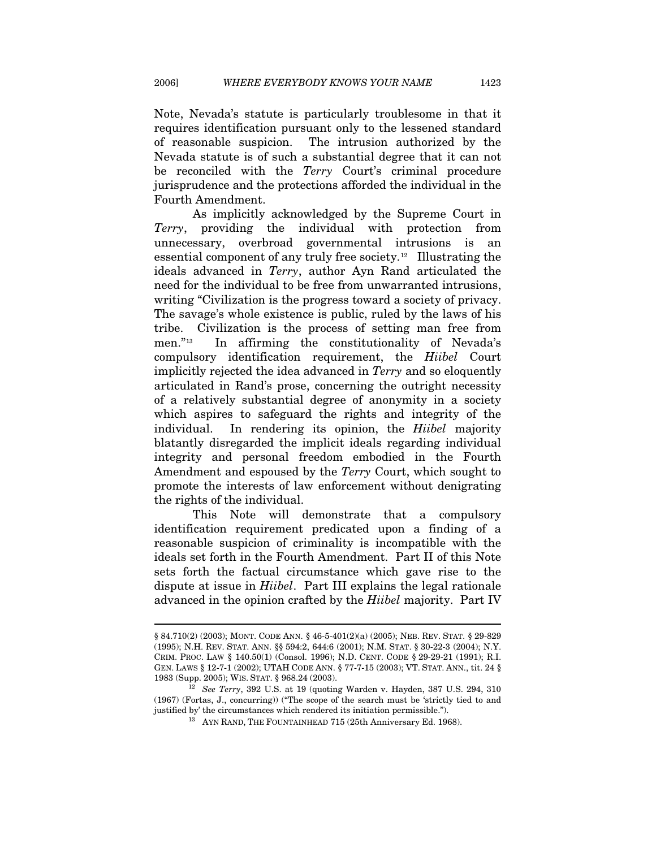Note, Nevada's statute is particularly troublesome in that it requires identification pursuant only to the lessened standard of reasonable suspicion. The intrusion authorized by the Nevada statute is of such a substantial degree that it can not be reconciled with the *Terry* Court's criminal procedure jurisprudence and the protections afforded the individual in the Fourth Amendment.

As implicitly acknowledged by the Supreme Court in *Terry*, providing the individual with protection from unnecessary, overbroad governmental intrusions is an essential component of any truly free society.[1](#page-3-0)2 Illustrating the ideals advanced in *Terry*, author Ayn Rand articulated the need for the individual to be free from unwarranted intrusions, writing "Civilization is the progress toward a society of privacy. The savage's whole existence is public, ruled by the laws of his tribe. Civilization is the process of setting man free from men."[13](#page-3-1) In affirming the constitutionality of Nevada's compulsory identification requirement, the *Hiibel* Court implicitly rejected the idea advanced in *Terry* and so eloquently articulated in Rand's prose, concerning the outright necessity of a relatively substantial degree of anonymity in a society which aspires to safeguard the rights and integrity of the individual. In rendering its opinion, the *Hiibel* majority blatantly disregarded the implicit ideals regarding individual integrity and personal freedom embodied in the Fourth Amendment and espoused by the *Terry* Court, which sought to promote the interests of law enforcement without denigrating the rights of the individual.

This Note will demonstrate that a compulsory identification requirement predicated upon a finding of a reasonable suspicion of criminality is incompatible with the ideals set forth in the Fourth Amendment. Part II of this Note sets forth the factual circumstance which gave rise to the dispute at issue in *Hiibel*.Part III explains the legal rationale advanced in the opinion crafted by the *Hiibel* majority. Part IV

<sup>§ 84.710(2) (2003);</sup> MONT. CODE ANN. § 46-5-401(2)(a) (2005); NEB. REV. STAT. § 29-829 (1995); N.H. REV. STAT. ANN. §§ 594:2, 644:6 (2001); N.M. STAT. § 30-22-3 (2004); N.Y. CRIM. PROC. LAW § 140.50(1) (Consol. 1996); N.D. CENT. CODE § 29-29-21 (1991); R.I. GEN. LAWS § 12-7-1 (2002); UTAH CODE ANN. § 77-7-15 (2003); VT. STAT. ANN., tit. 24 § 1983 (Supp. 2005); WIS. STAT. § 968.24 (2003). 12 *See Terry*, 392 U.S. at 19 (quoting Warden v. Hayden, 387 U.S. 294, 310

<span id="page-3-1"></span><span id="page-3-0"></span><sup>(1967) (</sup>Fortas, J., concurring)) ("The scope of the search must be 'strictly tied to and justified by' the circumstances which rendered its initiation permissible."). 13 AYN RAND, THE FOUNTAINHEAD 715 (25th Anniversary Ed. 1968).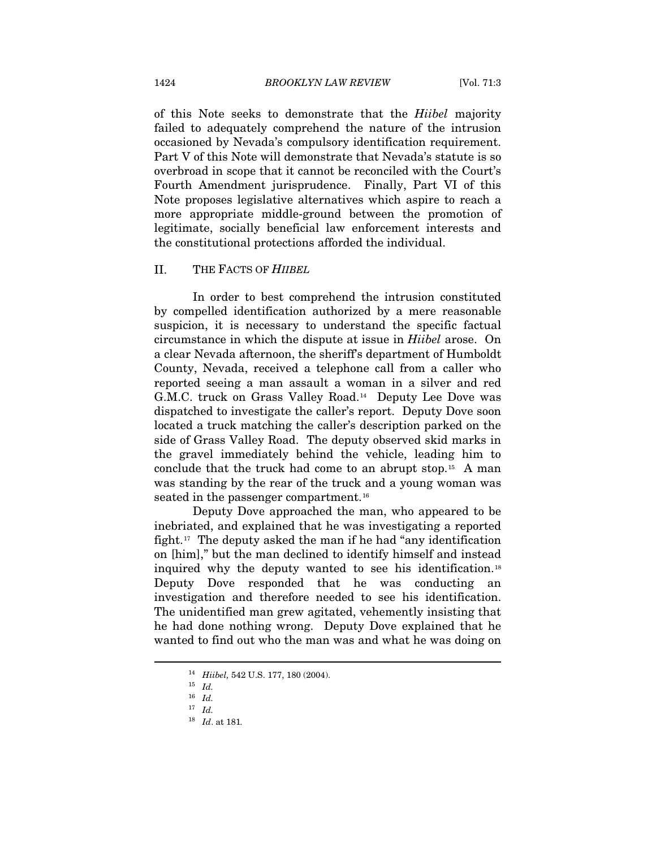of this Note seeks to demonstrate that the *Hiibel* majority failed to adequately comprehend the nature of the intrusion occasioned by Nevada's compulsory identification requirement. Part V of this Note will demonstrate that Nevada's statute is so overbroad in scope that it cannot be reconciled with the Court's Fourth Amendment jurisprudence. Finally, Part VI of this Note proposes legislative alternatives which aspire to reach a more appropriate middle-ground between the promotion of legitimate, socially beneficial law enforcement interests and the constitutional protections afforded the individual.

#### II. THE FACTS OF *HIIBEL*

In order to best comprehend the intrusion constituted by compelled identification authorized by a mere reasonable suspicion, it is necessary to understand the specific factual circumstance in which the dispute at issue in *Hiibel* arose. On a clear Nevada afternoon, the sheriff's department of Humboldt County, Nevada, received a telephone call from a caller who reported seeing a man assault a woman in a silver and red G.M.C. truck on Grass Valley Road.[1](#page-4-0)4 Deputy Lee Dove was dispatched to investigate the caller's report. Deputy Dove soon located a truck matching the caller's description parked on the side of Grass Valley Road. The deputy observed skid marks in the gravel immediately behind the vehicle, leading him to conclude that the truck had come to an abrupt stop.[15](#page-4-1) A man was standing by the rear of the truck and a young woman was seated in the passenger compartment.<sup>[16](#page-4-2)</sup>

Deputy Dove approached the man, who appeared to be inebriated, and explained that he was investigating a reported fight.<sup>[17](#page-4-3)</sup> The deputy asked the man if he had "any identification" on [him]," but the man declined to identify himself and instead inquired why the deputy wanted to see his identification.[18](#page-4-4) Deputy Dove responded that he was conducting an investigation and therefore needed to see his identification. The unidentified man grew agitated, vehemently insisting that he had done nothing wrong. Deputy Dove explained that he wanted to find out who the man was and what he was doing on

<span id="page-4-1"></span><span id="page-4-0"></span><sup>14</sup> *Hiibel,* 542 U.S. 177, 180 (2004). 15 *Id.* 

<span id="page-4-2"></span><sup>16</sup> *Id.* 

<span id="page-4-4"></span><span id="page-4-3"></span><sup>17</sup> *Id.*

<sup>18</sup> *Id*. at 181*.*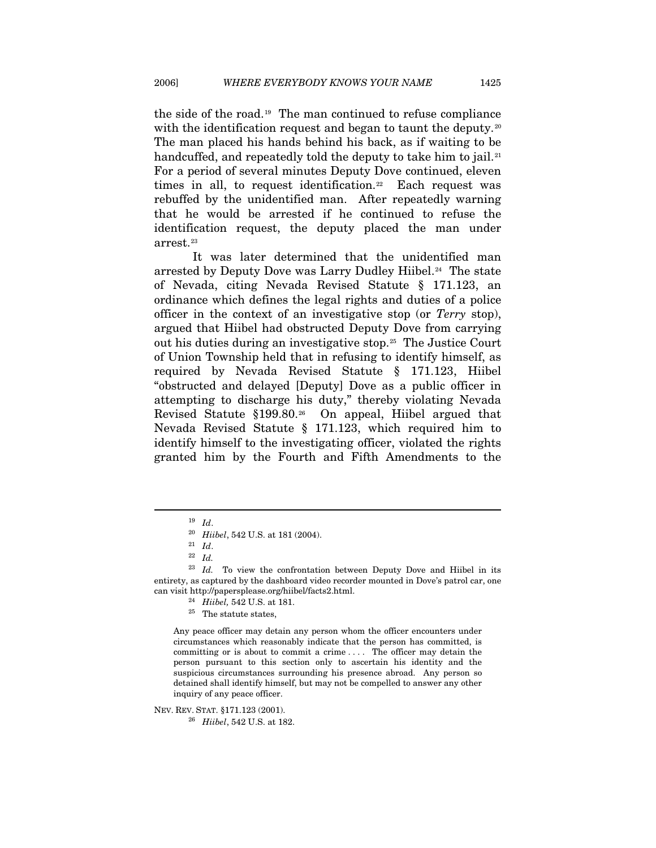the side of the road.[1](#page-5-0)9 The man continued to refuse compliance with the identification request and began to taunt the deputy.<sup>[20](#page-5-1)</sup> The man placed his hands behind his back, as if waiting to be handcuffed, and repeatedly told the deputy to take him to jail.<sup>[21](#page-5-2)</sup> For a period of several minutes Deputy Dove continued, eleven times in all, to request identification.<sup>[2](#page-5-3)2</sup> Each request was rebuffed by the unidentified man. After repeatedly warning that he would be arrested if he continued to refuse the identification request, the deputy placed the man under arrest.<sup>[2](#page-5-4)3</sup>

It was later determined that the unidentified man arrested by Deputy Dove was Larry Dudley Hiibel.<sup>[2](#page-5-5)4</sup> The state of Nevada, citing Nevada Revised Statute § 171.123, an ordinance which defines the legal rights and duties of a police officer in the context of an investigative stop (or *Terry* stop), argued that Hiibel had obstructed Deputy Dove from carrying out his duties during an investigative stop.[2](#page-5-6)5 The Justice Court of Union Township held that in refusing to identify himself, as required by Nevada Revised Statute § 171.123, Hiibel "obstructed and delayed [Deputy] Dove as a public officer in attempting to discharge his duty," thereby violating Nevada Revised Statute §199.80.[26](#page-5-7) On appeal, Hiibel argued that Nevada Revised Statute § 171.123, which required him to identify himself to the investigating officer, violated the rights granted him by the Fourth and Fifth Amendments to the

<span id="page-5-0"></span> $\overline{a}$ 

Any peace officer may detain any person whom the officer encounters under circumstances which reasonably indicate that the person has committed, is committing or is about to commit a crime . . . . The officer may detain the person pursuant to this section only to ascertain his identity and the suspicious circumstances surrounding his presence abroad. Any person so detained shall identify himself, but may not be compelled to answer any other inquiry of any peace officer.

<span id="page-5-7"></span>NEV. REV. STAT. §171.123 (2001). 26 *Hiibel*, 542 U.S. at 182.

<sup>19</sup> *Id*.

<sup>20</sup> *Hiibel*, 542 U.S. at 181 (2004). 21 *Id*. 22 *Id.*

<span id="page-5-6"></span><span id="page-5-5"></span><span id="page-5-4"></span><span id="page-5-3"></span><span id="page-5-2"></span><span id="page-5-1"></span><sup>&</sup>lt;sup>23</sup> Id. To view the confrontation between Deputy Dove and Hiibel in its entirety, as captured by the dashboard video recorder mounted in Dove's patrol car, one can visit http://papersplease.org/hiibel/facts2.html. 24 *Hiibel,* 542 U.S. at 181. 25 The statute states,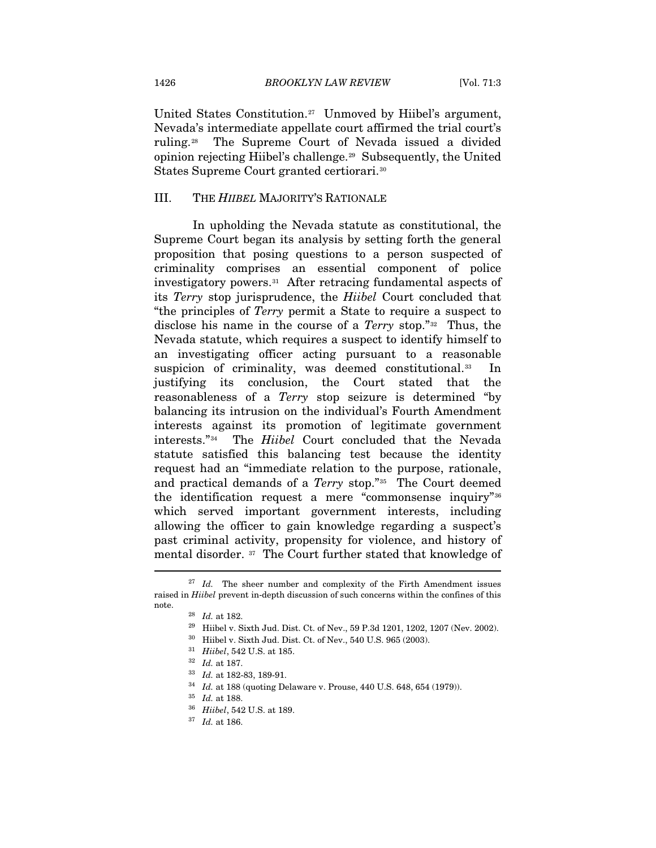United States Constitution.<sup>[27](#page-6-0)</sup> Unmoved by Hiibel's argument, Nevada's intermediate appellate court affirmed the trial court's ruling.[28](#page-6-1) The Supreme Court of Nevada issued a divided opinion rejecting Hiibel's challenge.[29](#page-6-2) Subsequently, the United States Supreme Court granted certiorari.[30](#page-6-3)

#### III. THE *HIIBEL* MAJORITY'S RATIONALE

In upholding the Nevada statute as constitutional, the Supreme Court began its analysis by setting forth the general proposition that posing questions to a person suspected of criminality comprises an essential component of police investigatory powers.<sup>[3](#page-6-4)1</sup> After retracing fundamental aspects of its *Terry* stop jurisprudence, the *Hiibel* Court concluded that "the principles of *Terry* permit a State to require a suspect to disclose his name in the course of a *Terry* stop."[32](#page-6-5) Thus, the Nevada statute, which requires a suspect to identify himself to an investigating officer acting pursuant to a reasonable suspicion of criminality, was deemed constitutional.<sup>[3](#page-6-6)3</sup> In justifying its conclusion, the Court stated that the reasonableness of a *Terry* stop seizure is determined "by balancing its intrusion on the individual's Fourth Amendment interests against its promotion of legitimate government interests."[34](#page-6-7) The *Hiibel* Court concluded that the Nevada statute satisfied this balancing test because the identity request had an "immediate relation to the purpose, rationale, and practical demands of a *Terry* stop."[35](#page-6-8) The Court deemed the identification request a mere "commonsense inquiry"[36](#page-6-9) which served important government interests, including allowing the officer to gain knowledge regarding a suspect's past criminal activity, propensity for violence, and history of mental disorder. [3](#page-6-10)7 The Court further stated that knowledge of

<span id="page-6-7"></span><span id="page-6-6"></span><span id="page-6-5"></span><span id="page-6-4"></span><span id="page-6-3"></span><span id="page-6-2"></span><span id="page-6-1"></span><span id="page-6-0"></span><sup>&</sup>lt;sup>27</sup> *Id.* The sheer number and complexity of the Firth Amendment issues raised in *Hiibel* prevent in-depth discussion of such concerns within the confines of this note. 28 *Id.* at 182. 29 Hiibel v. Sixth Jud. Dist. Ct. of Nev., 59 P.3d 1201, 1202, 1207 (Nev. 2002).

<sup>30</sup> Hiibel v. Sixth Jud. Dist. Ct. of Nev., 540 U.S. 965 (2003).

<sup>31</sup> *Hiibel*, 542 U.S. at 185. 32 *Id.* at 187. 33 *Id.* at 182-83, 189-91. 34 *Id.* at 188 (quoting Delaware v. Prouse, 440 U.S. 648, 654 (1979)).

<span id="page-6-9"></span><span id="page-6-8"></span><sup>35</sup> *Id.* at 188. 36 *Hiibel*, 542 U.S. at 189. 37 *Id.* at 186.

<span id="page-6-10"></span>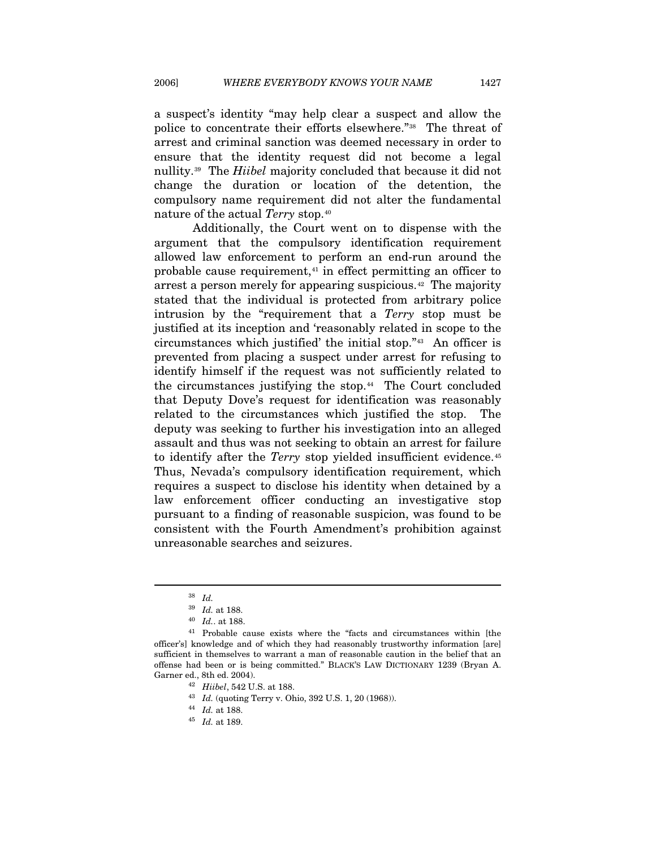a suspect's identity "may help clear a suspect and allow the police to concentrate their efforts elsewhere."[3](#page-7-0)8 The threat of arrest and criminal sanction was deemed necessary in order to ensure that the identity request did not become a legal nullity.[39](#page-7-1) The *Hiibel* majority concluded that because it did not change the duration or location of the detention, the compulsory name requirement did not alter the fundamental nature of the actual *Terry* stop.[4](#page-7-2)0

Additionally, the Court went on to dispense with the argument that the compulsory identification requirement allowed law enforcement to perform an end-run around the probable cause requirement,[4](#page-7-3)1 in effect permitting an officer to arrest a person merely for appearing suspicious.<sup>[42](#page-7-4)</sup> The majority stated that the individual is protected from arbitrary police intrusion by the "requirement that a *Terry* stop must be justified at its inception and 'reasonably related in scope to the circumstances which justified' the initial stop."[4](#page-7-5)3 An officer is prevented from placing a suspect under arrest for refusing to identify himself if the request was not sufficiently related to the circumstances justifying the stop.<sup>[44](#page-7-6)</sup> The Court concluded that Deputy Dove's request for identification was reasonably related to the circumstances which justified the stop. The deputy was seeking to further his investigation into an alleged assault and thus was not seeking to obtain an arrest for failure to identify after the *Terry* stop yielded insufficient evidence.<sup>[45](#page-7-7)</sup> Thus, Nevada's compulsory identification requirement, which requires a suspect to disclose his identity when detained by a law enforcement officer conducting an investigative stop pursuant to a finding of reasonable suspicion, was found to be consistent with the Fourth Amendment's prohibition against unreasonable searches and seizures.

<sup>38</sup> *Id.* 

<span id="page-7-7"></span><span id="page-7-6"></span><span id="page-7-5"></span><span id="page-7-4"></span><span id="page-7-3"></span><span id="page-7-2"></span><span id="page-7-1"></span><span id="page-7-0"></span> $^\mathrm{40}$   $Id.$  at 188.  $^\mathrm{41}$  Probable cause exists where the "facts and circumstances within [the officer's] knowledge and of which they had reasonably trustworthy information [are] sufficient in themselves to warrant a man of reasonable caution in the belief that an offense had been or is being committed." BLACK'S LAW DICTIONARY 1239 (Bryan A. Garner ed., 8th ed. 2004). 42 *Hiibel*, 542 U.S. at 188.

<sup>43</sup> *Id.* (quoting Terry v. Ohio, 392 U.S. 1, 20 (1968)). 44 *Id.* at 188. 45 *Id.* at 189.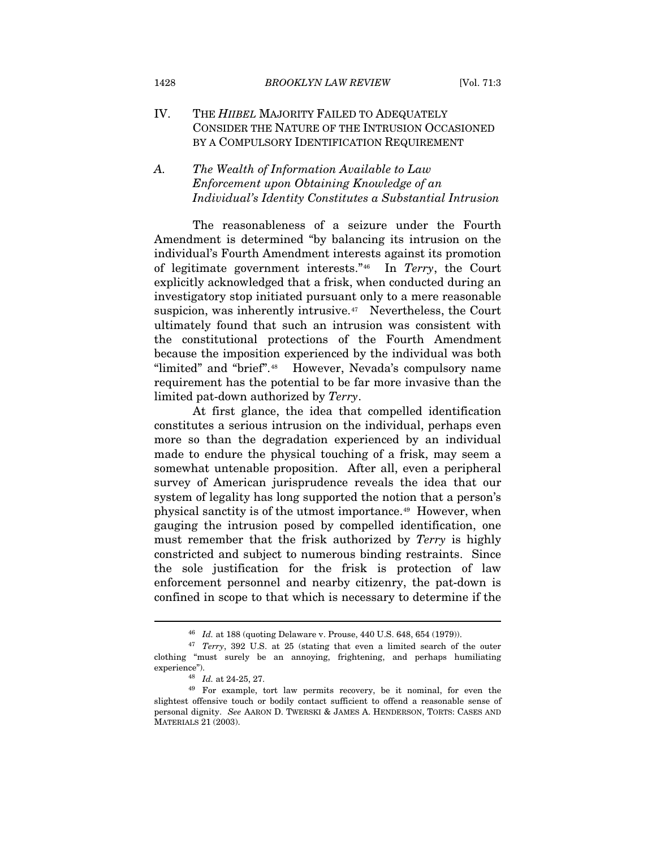#### IV. THE *HIIBEL* MAJORITY FAILED TO ADEQUATELY CONSIDER THE NATURE OF THE INTRUSION OCCASIONED BY A COMPULSORY IDENTIFICATION REQUIREMENT

## *A. The Wealth of Information Available to Law Enforcement upon Obtaining Knowledge of an Individual's Identity Constitutes a Substantial Intrusion*

The reasonableness of a seizure under the Fourth Amendment is determined "by balancing its intrusion on the individual's Fourth Amendment interests against its promotion of legitimate government interests."[4](#page-8-0)6 In *Terry*, the Court explicitly acknowledged that a frisk, when conducted during an investigatory stop initiated pursuant only to a mere reasonable suspicion, was inherently intrusive.<sup>[4](#page-8-1)7</sup> Nevertheless, the Court ultimately found that such an intrusion was consistent with the constitutional protections of the Fourth Amendment because the imposition experienced by the individual was both "limited" and "brief".[4](#page-8-2)8 However, Nevada's compulsory name requirement has the potential to be far more invasive than the limited pat-down authorized by *Terry*.

At first glance, the idea that compelled identification constitutes a serious intrusion on the individual, perhaps even more so than the degradation experienced by an individual made to endure the physical touching of a frisk, may seem a somewhat untenable proposition. After all, even a peripheral survey of American jurisprudence reveals the idea that our system of legality has long supported the notion that a person's physical sanctity is of the utmost importance.[49](#page-8-3) However, when gauging the intrusion posed by compelled identification, one must remember that the frisk authorized by *Terry* is highly constricted and subject to numerous binding restraints. Since the sole justification for the frisk is protection of law enforcement personnel and nearby citizenry, the pat-down is confined in scope to that which is necessary to determine if the

<span id="page-8-1"></span><span id="page-8-0"></span><sup>46</sup> *Id.* at 188 (quoting Delaware v. Prouse, 440 U.S. 648, 654 (1979)). 47 *Terry*, 392 U.S. at 25 (stating that even a limited search of the outer clothing "must surely be an annoying, frightening, and perhaps humiliating experience"). 48 *Id.* at 24-25, 27. 49 For example, tort law permits recovery, be it nominal, for even the

<span id="page-8-3"></span><span id="page-8-2"></span>slightest offensive touch or bodily contact sufficient to offend a reasonable sense of personal dignity. *See* AARON D. TWERSKI & JAMES A. HENDERSON, TORTS: CASES AND MATERIALS 21 (2003).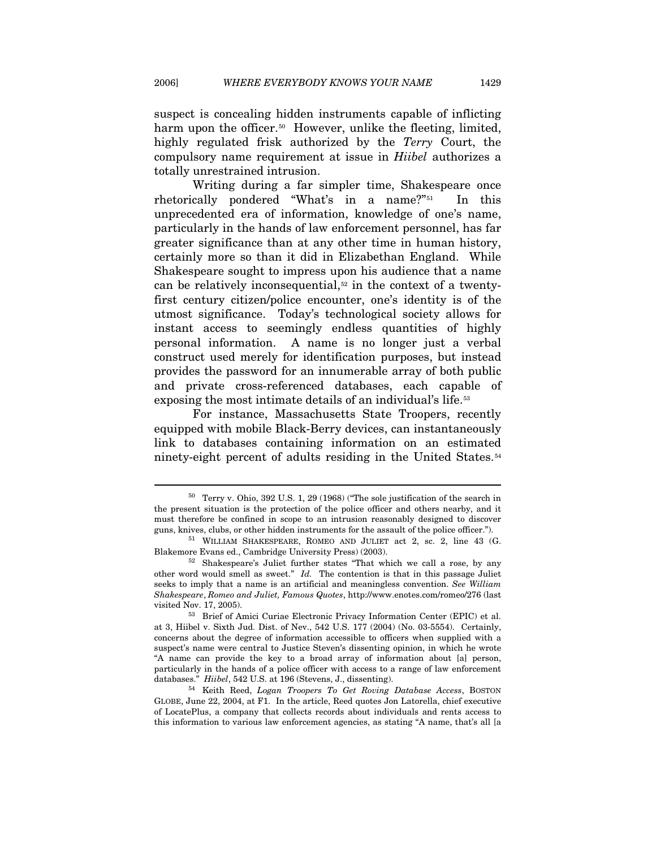suspect is concealing hidden instruments capable of inflicting harm upon the officer.<sup>[5](#page-9-0)0</sup> However, unlike the fleeting, limited, highly regulated frisk authorized by the *Terry* Court, the compulsory name requirement at issue in *Hiibel* authorizes a totally unrestrained intrusion.

Writing during a far simpler time, Shakespeare once rhetorically pondered "What's in a name?"[5](#page-9-1)1 In this unprecedented era of information, knowledge of one's name, particularly in the hands of law enforcement personnel, has far greater significance than at any other time in human history, certainly more so than it did in Elizabethan England. While Shakespeare sought to impress upon his audience that a name can be relatively inconsequential, $52$  $52$  in the context of a twentyfirst century citizen/police encounter, one's identity is of the utmost significance. Today's technological society allows for instant access to seemingly endless quantities of highly personal information. A name is no longer just a verbal construct used merely for identification purposes, but instead provides the password for an innumerable array of both public and private cross-referenced databases, each capable of exposing the most intimate details of an individual's life.<sup>[53](#page-9-3)</sup>

For instance, Massachusetts State Troopers, recently equipped with mobile Black-Berry devices, can instantaneously link to databases containing information on an estimated ninety-eight percent of adults residing in the United States.<sup>[54](#page-9-4)</sup>

<span id="page-9-0"></span> $50$  Terry v. Ohio, 392 U.S. 1, 29 (1968) ("The sole justification of the search in the present situation is the protection of the police officer and others nearby, and it must therefore be confined in scope to an intrusion reasonably designed to discover guns, knives, clubs, or other hidden instruments for the assault of the police officer.").

<span id="page-9-1"></span> $51$  WILLIAM SHAKESPEARE, ROMEO AND JULIET act 2, sc. 2, line 43 (G. Blakemore Evans ed., Cambridge University Press) (2003). 52 Shakespeare's Juliet further states "That which we call a rose, by any

<span id="page-9-2"></span>other word would smell as sweet." *Id.* The contention is that in this passage Juliet seeks to imply that a name is an artificial and meaningless convention. *See William Shakespeare*, *Romeo and Juliet, Famous Quotes*, http://www.enotes.com/romeo/276 (last visited Nov. 17, 2005). 53 Brief of Amici Curiae Electronic Privacy Information Center (EPIC) et al.

<span id="page-9-3"></span>at 3, Hiibel v. Sixth Jud. Dist. of Nev., 542 U.S. 177 (2004) (No. 03-5554). Certainly, concerns about the degree of information accessible to officers when supplied with a suspect's name were central to Justice Steven's dissenting opinion, in which he wrote "A name can provide the key to a broad array of information about [a] person, particularly in the hands of a police officer with access to a range of law enforcement databases." *Hiibel*, 542 U.S. at 196 (Stevens, J., dissenting). 54 Keith Reed, *Logan Troopers To Get Roving Database Access*, BOSTON

<span id="page-9-4"></span>GLOBE, June 22, 2004, at F1. In the article, Reed quotes Jon Latorella, chief executive of LocatePlus, a company that collects records about individuals and rents access to this information to various law enforcement agencies, as stating "A name, that's all [a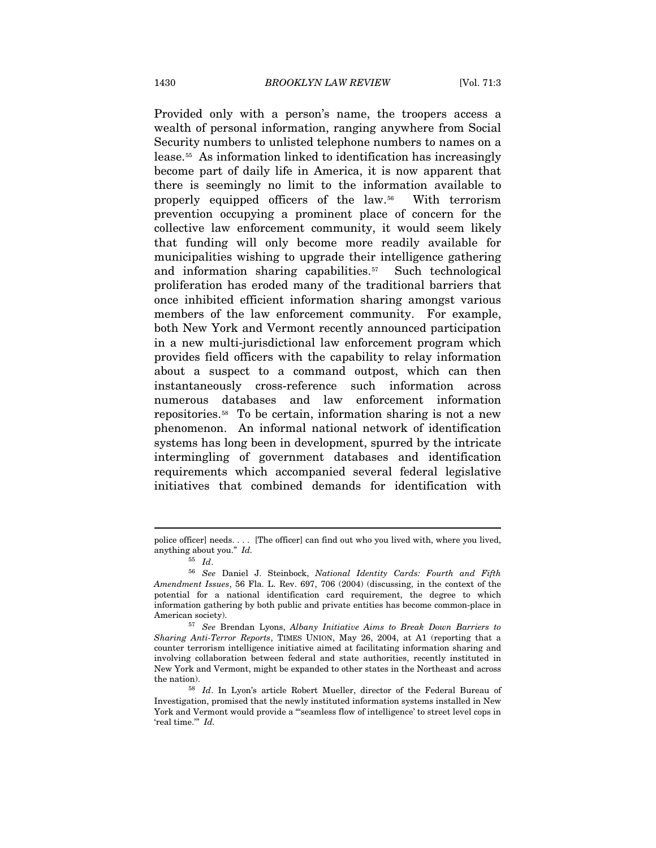Provided only with a person's name, the troopers access a wealth of personal information, ranging anywhere from Social Security numbers to unlisted telephone numbers to names on a lease.[5](#page-10-0)5 As information linked to identification has increasingly become part of daily life in America, it is now apparent that there is seemingly no limit to the information available to properly equipped officers of the law.[56](#page-10-1) With terrorism prevention occupying a prominent place of concern for the collective law enforcement community, it would seem likely that funding will only become more readily available for municipalities wishing to upgrade their intelligence gathering and information sharing capabilities.[5](#page-10-2)7 Such technological proliferation has eroded many of the traditional barriers that once inhibited efficient information sharing amongst various members of the law enforcement community. For example, both New York and Vermont recently announced participation in a new multi-jurisdictional law enforcement program which provides field officers with the capability to relay information about a suspect to a command outpost, which can then instantaneously cross-reference such information across numerous databases and law enforcement information repositories.[5](#page-10-3)8 To be certain, information sharing is not a new phenomenon. An informal national network of identification systems has long been in development, spurred by the intricate intermingling of government databases and identification requirements which accompanied several federal legislative initiatives that combined demands for identification with

police officer] needs. . . . [The officer] can find out who you lived with, where you lived, anything about you." *Id.* 

<span id="page-10-1"></span><span id="page-10-0"></span><sup>55</sup> *Id*. 56 *See* Daniel J. Steinbock, *National Identity Cards: Fourth and Fifth Amendment Issues*, 56 Fla. L. Rev. 697, 706 (2004) (discussing, in the context of the potential for a national identification card requirement, the degree to which information gathering by both public and private entities has become common-place in

<span id="page-10-2"></span>American society). 57 *See* Brendan Lyons, *Albany Initiative Aims to Break Down Barriers to Sharing Anti-Terror Reports*, TIMES UNION, May 26, 2004, at A1 (reporting that a counter terrorism intelligence initiative aimed at facilitating information sharing and involving collaboration between federal and state authorities, recently instituted in New York and Vermont, might be expanded to other states in the Northeast and across the nation). 58 *Id*. In Lyon's article Robert Mueller, director of the Federal Bureau of

<span id="page-10-3"></span>Investigation, promised that the newly instituted information systems installed in New York and Vermont would provide a "'seamless flow of intelligence' to street level cops in 'real time.'" *Id.*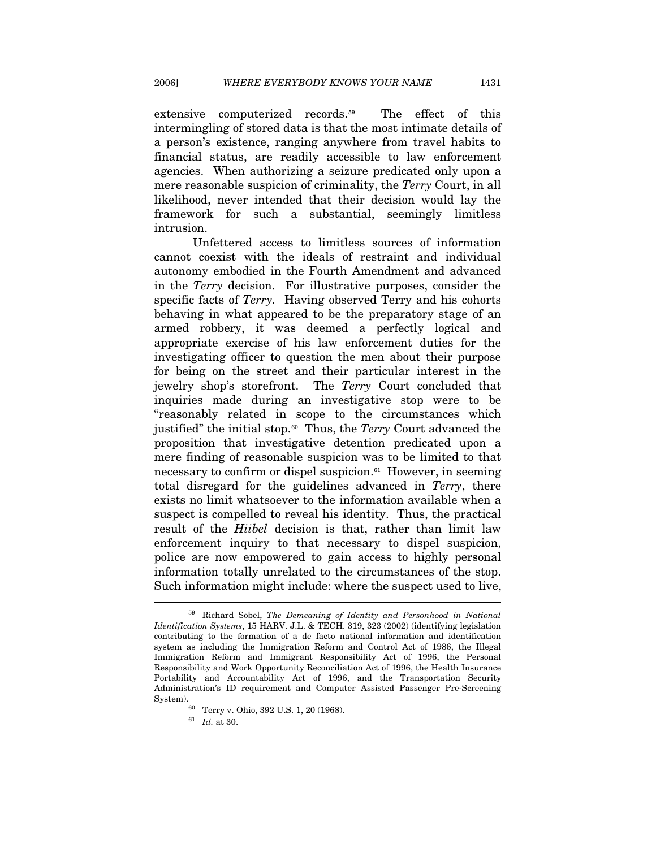extensive computerized records.[5](#page-11-0)9 The effect of this intermingling of stored data is that the most intimate details of a person's existence, ranging anywhere from travel habits to financial status, are readily accessible to law enforcement agencies. When authorizing a seizure predicated only upon a mere reasonable suspicion of criminality, the *Terry* Court, in all likelihood, never intended that their decision would lay the framework for such a substantial, seemingly limitless intrusion.

Unfettered access to limitless sources of information cannot coexist with the ideals of restraint and individual autonomy embodied in the Fourth Amendment and advanced in the *Terry* decision. For illustrative purposes, consider the specific facts of *Terry.* Having observed Terry and his cohorts behaving in what appeared to be the preparatory stage of an armed robbery, it was deemed a perfectly logical and appropriate exercise of his law enforcement duties for the investigating officer to question the men about their purpose for being on the street and their particular interest in the jewelry shop's storefront. The *Terry* Court concluded that inquiries made during an investigative stop were to be "reasonably related in scope to the circumstances which justified" the initial stop.<sup>[6](#page-11-1)0</sup> Thus, the *Terry* Court advanced the proposition that investigative detention predicated upon a mere finding of reasonable suspicion was to be limited to that necessary to confirm or dispel suspicion.<sup>[6](#page-11-2)1</sup> However, in seeming total disregard for the guidelines advanced in *Terry*, there exists no limit whatsoever to the information available when a suspect is compelled to reveal his identity. Thus, the practical result of the *Hiibel* decision is that, rather than limit law enforcement inquiry to that necessary to dispel suspicion, police are now empowered to gain access to highly personal information totally unrelated to the circumstances of the stop. Such information might include: where the suspect used to live, l

<span id="page-11-1"></span><span id="page-11-0"></span><sup>59</sup> Richard Sobel, *The Demeaning of Identity and Personhood in National Identification Systems*, 15 HARV. J.L. & TECH. 319, 323 (2002) (identifying legislation contributing to the formation of a de facto national information and identification system as including the Immigration Reform and Control Act of 1986, the Illegal Immigration Reform and Immigrant Responsibility Act of 1996, the Personal Responsibility and Work Opportunity Reconciliation Act of 1996, the Health Insurance Portability and Accountability Act of 1996, and the Transportation Security Administration's ID requirement and Computer Assisted Passenger Pre-Screening System). 60 Terry v. Ohio, 392 U.S. 1, 20 (1968). 61 *Id.* at 30.

<span id="page-11-2"></span>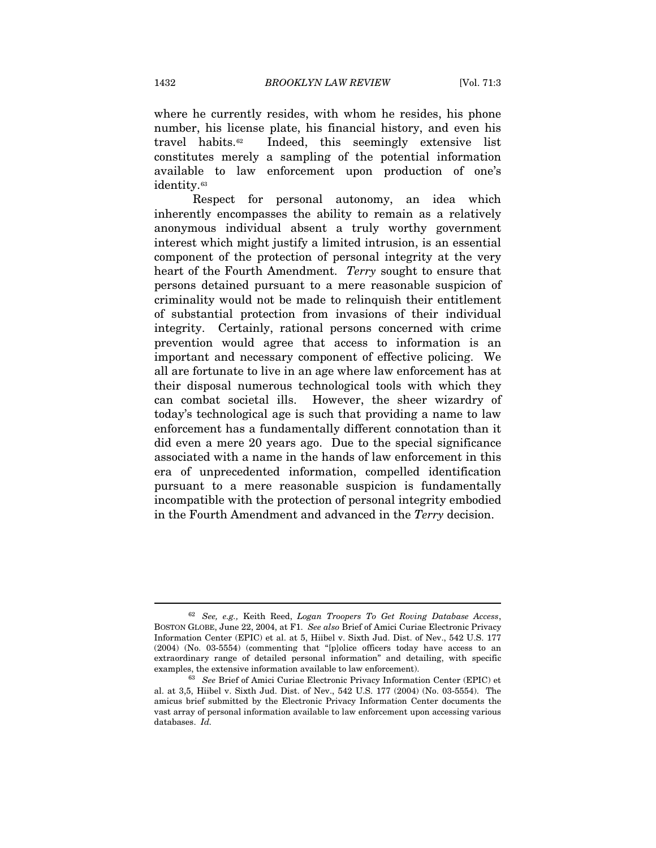where he currently resides, with whom he resides, his phone number, his license plate, his financial history, and even his travel habits.[62](#page-12-0) Indeed, this seemingly extensive list constitutes merely a sampling of the potential information available to law enforcement upon production of one's identity.<sup>[63](#page-12-1)</sup>

Respect for personal autonomy, an idea which inherently encompasses the ability to remain as a relatively anonymous individual absent a truly worthy government interest which might justify a limited intrusion, is an essential component of the protection of personal integrity at the very heart of the Fourth Amendment. *Terry* sought to ensure that persons detained pursuant to a mere reasonable suspicion of criminality would not be made to relinquish their entitlement of substantial protection from invasions of their individual integrity. Certainly, rational persons concerned with crime prevention would agree that access to information is an important and necessary component of effective policing. We all are fortunate to live in an age where law enforcement has at their disposal numerous technological tools with which they can combat societal ills. However, the sheer wizardry of today's technological age is such that providing a name to law enforcement has a fundamentally different connotation than it did even a mere 20 years ago. Due to the special significance associated with a name in the hands of law enforcement in this era of unprecedented information, compelled identification pursuant to a mere reasonable suspicion is fundamentally incompatible with the protection of personal integrity embodied in the Fourth Amendment and advanced in the *Terry* decision.

l

<span id="page-12-0"></span><sup>62</sup> *See, e.g.,* Keith Reed, *Logan Troopers To Get Roving Database Access*, BOSTON GLOBE, June 22, 2004, at F1. *See also* Brief of Amici Curiae Electronic Privacy Information Center (EPIC) et al. at 5, Hiibel v. Sixth Jud. Dist. of Nev., 542 U.S. 177 (2004) (No. 03-5554) (commenting that "[p]olice officers today have access to an extraordinary range of detailed personal information" and detailing, with specific examples, the extensive information available to law enforcement). 63 *See* Brief of Amici Curiae Electronic Privacy Information Center (EPIC) et

<span id="page-12-1"></span>al. at 3,5, Hiibel v. Sixth Jud. Dist. of Nev., 542 U.S. 177 (2004) (No. 03-5554). The amicus brief submitted by the Electronic Privacy Information Center documents the vast array of personal information available to law enforcement upon accessing various databases. *Id.*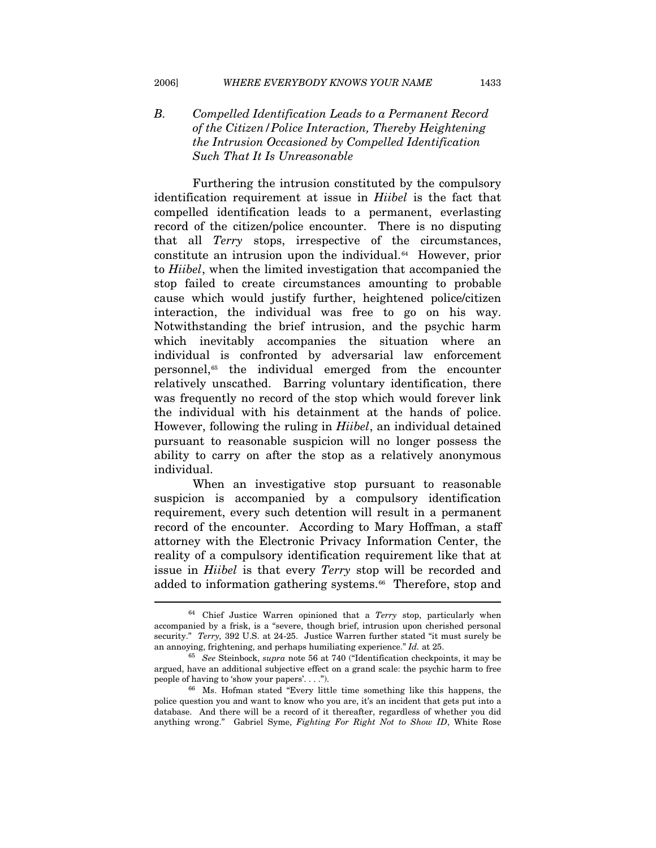# *B. Compelled Identification Leads to a Permanent Record of the Citizen/Police Interaction, Thereby Heightening the Intrusion Occasioned by Compelled Identification Such That It Is Unreasonable*

Furthering the intrusion constituted by the compulsory identification requirement at issue in *Hiibel* is the fact that compelled identification leads to a permanent, everlasting record of the citizen/police encounter. There is no disputing that all *Terry* stops, irrespective of the circumstances, constitute an intrusion upon the individual.[64](#page-13-0) However, prior to *Hiibel*, when the limited investigation that accompanied the stop failed to create circumstances amounting to probable cause which would justify further, heightened police/citizen interaction, the individual was free to go on his way. Notwithstanding the brief intrusion, and the psychic harm which inevitably accompanies the situation where an individual is confronted by adversarial law enforcement personnel,[6](#page-13-1)5 the individual emerged from the encounter relatively unscathed. Barring voluntary identification, there was frequently no record of the stop which would forever link the individual with his detainment at the hands of police. However, following the ruling in *Hiibel*, an individual detained pursuant to reasonable suspicion will no longer possess the ability to carry on after the stop as a relatively anonymous individual.

When an investigative stop pursuant to reasonable suspicion is accompanied by a compulsory identification requirement, every such detention will result in a permanent record of the encounter. According to Mary Hoffman, a staff attorney with the Electronic Privacy Information Center, the reality of a compulsory identification requirement like that at issue in *Hiibel* is that every *Terry* stop will be recorded and added to information gathering systems.<sup>[66](#page-13-2)</sup> Therefore, stop and

<span id="page-13-0"></span><sup>64</sup> Chief Justice Warren opinioned that a *Terry* stop, particularly when accompanied by a frisk, is a "severe, though brief, intrusion upon cherished personal security." *Terry,* 392 U.S. at 24-25. Justice Warren further stated "it must surely be an annoying, frightening, and perhaps humiliating experience." *Id.* at 25. 65 *See* Steinbock, *supra* note 56 at 740 ("Identification checkpoints, it may be

<span id="page-13-1"></span>argued, have an additional subjective effect on a grand scale: the psychic harm to free people of having to 'show your papers'....").  $\frac{66}{100}$  Ms. Hofman stated "Every little time something like this happens, the

<span id="page-13-2"></span>police question you and want to know who you are, it's an incident that gets put into a database. And there will be a record of it thereafter, regardless of whether you did anything wrong." Gabriel Syme, *Fighting For Right Not to Show ID*, White Rose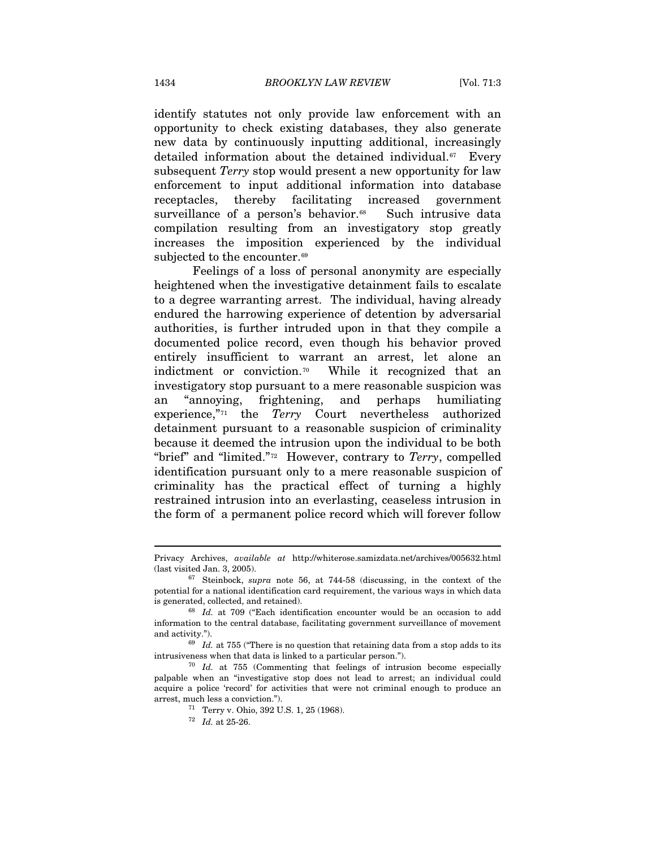identify statutes not only provide law enforcement with an opportunity to check existing databases, they also generate new data by continuously inputting additional, increasingly detailed information about the detained individual.<sup>[67](#page-14-0)</sup> Every subsequent *Terry* stop would present a new opportunity for law enforcement to input additional information into database receptacles, thereby facilitating increased government surveillance of a person's behavior.<sup>[68](#page-14-1)</sup> Such intrusive data compilation resulting from an investigatory stop greatly increases the imposition experienced by the individual subjected to the encounter.<sup>[6](#page-14-2)9</sup>

Feelings of a loss of personal anonymity are especially heightened when the investigative detainment fails to escalate to a degree warranting arrest. The individual, having already endured the harrowing experience of detention by adversarial authorities, is further intruded upon in that they compile a documented police record, even though his behavior proved entirely insufficient to warrant an arrest, let alone an indictment or conviction.[70](#page-14-3) While it recognized that an investigatory stop pursuant to a mere reasonable suspicion was an "annoying, frightening, and perhaps humiliating experience,"[7](#page-14-4)1 the *Terry* Court nevertheless authorized detainment pursuant to a reasonable suspicion of criminality because it deemed the intrusion upon the individual to be both "brief" and "limited."[72](#page-14-5) However, contrary to *Terry*, compelled identification pursuant only to a mere reasonable suspicion of criminality has the practical effect of turning a highly restrained intrusion into an everlasting, ceaseless intrusion in the form of a permanent police record which will forever follow

<span id="page-14-0"></span>Privacy Archives, *available at* http://whiterose.samizdata.net/archives/005632.html (last visited Jan. 3, 2005). 67 Steinbock, *supra* note 56, at 744-58 (discussing, in the context of the

potential for a national identification card requirement, the various ways in which data is generated, collected, and retained).  $68$  *Id.* at 709 ("Each identification encounter would be an occasion to add

<span id="page-14-1"></span>information to the central database, facilitating government surveillance of movement and activity.").<br><sup>69</sup> *Id.* at 755 ("There is no question that retaining data from a stop adds to its

<span id="page-14-2"></span>intrusiveness when that data is linked to a particular person."). 70 *Id.* at 755 (Commenting that feelings of intrusion become especially

<span id="page-14-5"></span><span id="page-14-4"></span><span id="page-14-3"></span>palpable when an "investigative stop does not lead to arrest; an individual could acquire a police 'record' for activities that were not criminal enough to produce an arrest, much less a conviction.").

<sup>&</sup>lt;sup>71</sup> Terry v. Ohio, 392 U.S. 1, 25 (1968). <sup>72</sup> *Id.* at 25-26.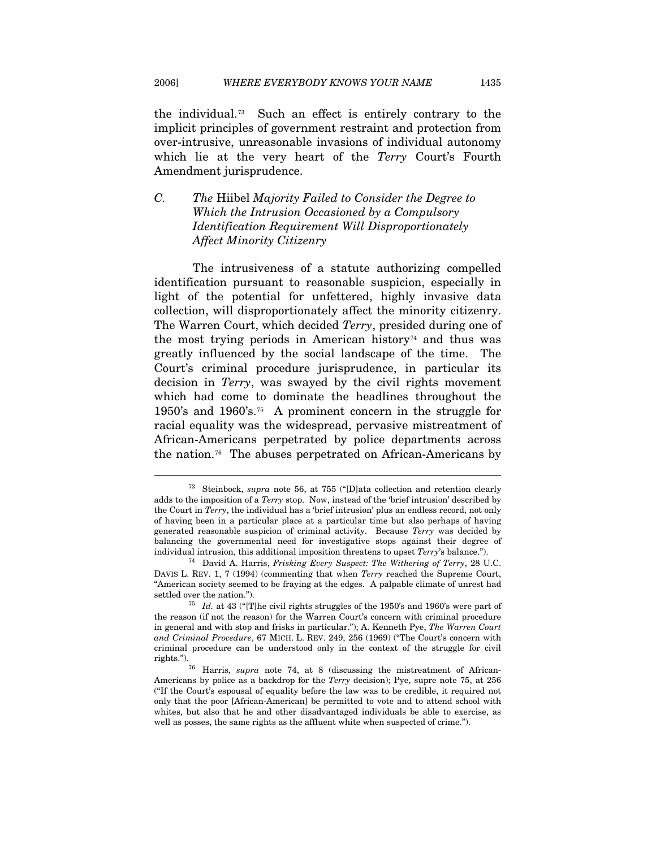the individual.[7](#page-15-0)3 Such an effect is entirely contrary to the implicit principles of government restraint and protection from over-intrusive, unreasonable invasions of individual autonomy which lie at the very heart of the *Terry* Court's Fourth Amendment jurisprudence.

# *C. The* Hiibel *Majority Failed to Consider the Degree to Which the Intrusion Occasioned by a Compulsory Identification Requirement Will Disproportionately Affect Minority Citizenry*

The intrusiveness of a statute authorizing compelled identification pursuant to reasonable suspicion, especially in light of the potential for unfettered, highly invasive data collection, will disproportionately affect the minority citizenry. The Warren Court, which decided *Terry*, presided during one of the most trying periods in American history<sup> $74$  $74$ </sup> and thus was greatly influenced by the social landscape of the time. The Court's criminal procedure jurisprudence, in particular its decision in *Terry*, was swayed by the civil rights movement which had come to dominate the headlines throughout the 1950's and 1960's.[7](#page-15-2)5 A prominent concern in the struggle for racial equality was the widespread, pervasive mistreatment of African-Americans perpetrated by police departments across the nation.[76](#page-15-3) The abuses perpetrated on African-Americans by

<span id="page-15-0"></span><sup>73</sup> Steinbock, *supra* note 56, at 755 ("[D]ata collection and retention clearly adds to the imposition of a *Terry* stop. Now, instead of the 'brief intrusion' described by the Court in *Terry*, the individual has a 'brief intrusion' plus an endless record, not only of having been in a particular place at a particular time but also perhaps of having generated reasonable suspicion of criminal activity. Because *Terry* was decided by balancing the governmental need for investigative stops against their degree of individual intrusion, this additional imposition threatens to upset *Terry*'s balance."). 74 David A. Harris, *Frisking Every Suspect: The Withering of Terry*, 28 U.C.

<span id="page-15-1"></span>DAVIS L. REV. 1, 7 (1994) (commenting that when *Terry* reached the Supreme Court, "American society seemed to be fraying at the edges. A palpable climate of unrest had

<span id="page-15-2"></span><sup>&</sup>lt;sup>75</sup> *Id.* at 43 ("[T]he civil rights struggles of the 1950's and 1960's were part of the reason (if not the reason) for the Warren Court's concern with criminal procedure in general and with stop and frisks in particular."); A. Kenneth Pye, *The Warren Court and Criminal Procedure*, 67 MICH. L. REV. 249, 256 (1969) ("The Court's concern with criminal procedure can be understood only in the context of the struggle for civil rights."). 76 Harris, *supra* note 74, at 8 (discussing the mistreatment of African-

<span id="page-15-3"></span>Americans by police as a backdrop for the *Terry* decision); Pye, supre note 75, at 256 ("If the Court's espousal of equality before the law was to be credible, it required not only that the poor [African-American] be permitted to vote and to attend school with whites, but also that he and other disadvantaged individuals be able to exercise, as well as posses, the same rights as the affluent white when suspected of crime.").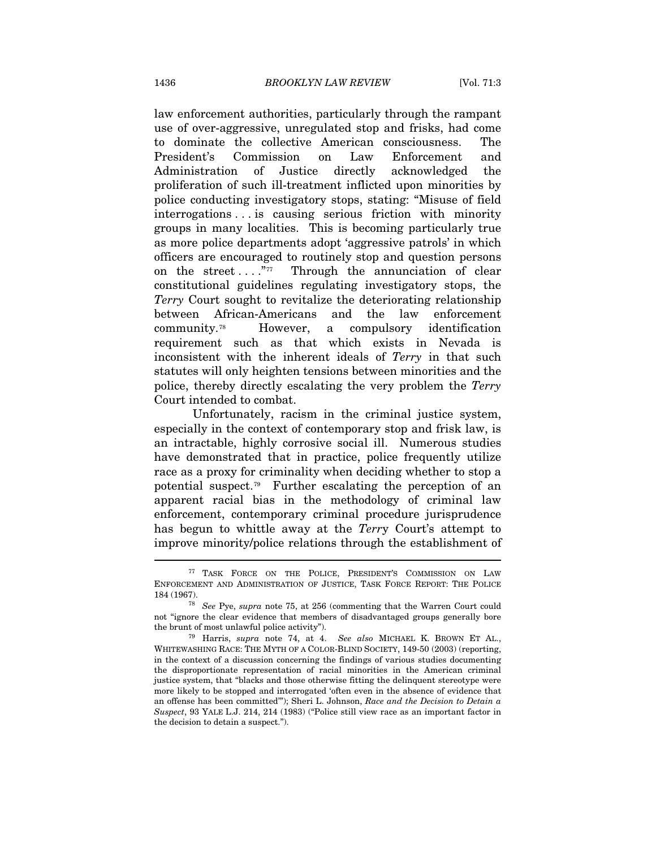law enforcement authorities, particularly through the rampant use of over-aggressive, unregulated stop and frisks, had come to dominate the collective American consciousness. The President's Commission on Law Enforcement and Administration of Justice directly acknowledged the proliferation of such ill-treatment inflicted upon minorities by police conducting investigatory stops, stating: "Misuse of field interrogations . . . is causing serious friction with minority groups in many localities. This is becoming particularly true as more police departments adopt 'aggressive patrols' in which officers are encouraged to routinely stop and question persons on the street  $\dots$ ."<sup>[77](#page-16-0)</sup> Through the annunciation of clear constitutional guidelines regulating investigatory stops, the *Terry* Court sought to revitalize the deteriorating relationship between African-Americans and the law enforcement community.[78](#page-16-1) However, a compulsory identification requirement such as that which exists in Nevada is inconsistent with the inherent ideals of *Terry* in that such statutes will only heighten tensions between minorities and the police, thereby directly escalating the very problem the *Terry*  Court intended to combat.

Unfortunately, racism in the criminal justice system, especially in the context of contemporary stop and frisk law, is an intractable, highly corrosive social ill. Numerous studies have demonstrated that in practice, police frequently utilize race as a proxy for criminality when deciding whether to stop a potential suspect.[7](#page-16-2)9 Further escalating the perception of an apparent racial bias in the methodology of criminal law enforcement, contemporary criminal procedure jurisprudence has begun to whittle away at the *Terr*y Court's attempt to improve minority/police relations through the establishment of

<span id="page-16-0"></span><sup>77</sup> TASK FORCE ON THE POLICE, PRESIDENT'S COMMISSION ON LAW ENFORCEMENT AND ADMINISTRATION OF JUSTICE, TASK FORCE REPORT: THE POLICE 184 (1967).

<span id="page-16-1"></span><sup>184 (1967). 78</sup> *See* Pye, *supra* note 75, at 256 (commenting that the Warren Court could not "ignore the clear evidence that members of disadvantaged groups generally bore the brunt of most unlawful police activity"). 79 Harris, *supra* note 74, at 4. *See also* MICHAEL K. BROWN ET AL.,

<span id="page-16-2"></span>WHITEWASHING RACE: THE MYTH OF A COLOR-BLIND SOCIETY, 149-50 (2003) (reporting, in the context of a discussion concerning the findings of various studies documenting the disproportionate representation of racial minorities in the American criminal justice system, that "blacks and those otherwise fitting the delinquent stereotype were more likely to be stopped and interrogated 'often even in the absence of evidence that an offense has been committed'"); Sheri L. Johnson, *Race and the Decision to Detain a Suspect*, 93 YALE L.J. 214, 214 (1983) ("Police still view race as an important factor in the decision to detain a suspect.").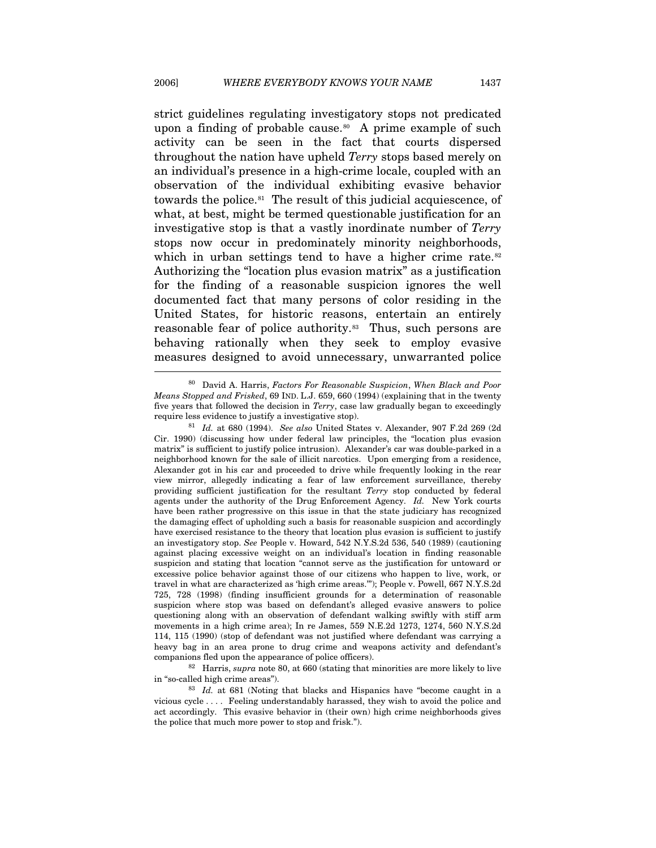strict guidelines regulating investigatory stops not predicated upon a finding of probable cause.<sup>[8](#page-17-0)0</sup> A prime example of such activity can be seen in the fact that courts dispersed throughout the nation have upheld *Terry* stops based merely on an individual's presence in a high-crime locale, coupled with an observation of the individual exhibiting evasive behavior towards the police.[81](#page-17-1) The result of this judicial acquiescence, of what, at best, might be termed questionable justification for an investigative stop is that a vastly inordinate number of *Terry* stops now occur in predominately minority neighborhoods, which in urban settings tend to have a higher crime rate.<sup>[82](#page-17-2)</sup> Authorizing the "location plus evasion matrix" as a justification for the finding of a reasonable suspicion ignores the well documented fact that many persons of color residing in the United States, for historic reasons, entertain an entirely reasonable fear of police authority.<sup>[83](#page-17-3)</sup> Thus, such persons are behaving rationally when they seek to employ evasive measures designed to avoid unnecessary, unwarranted police I

<span id="page-17-2"></span>in "so-called high crime areas"). 83 *Id.* at 681 (Noting that blacks and Hispanics have "become caught in a

<span id="page-17-0"></span><sup>80</sup> David A. Harris, *Factors For Reasonable Suspicion*, *When Black and Poor Means Stopped and Frisked*, 69 IND. L.J. 659, 660 (1994) (explaining that in the twenty five years that followed the decision in *Terry*, case law gradually began to exceedingly

<span id="page-17-1"></span>require less evidence to justify a investigative stop). 81 *Id.* at 680 (1994). *See also* United States v. Alexander, 907 F.2d 269 (2d Cir. 1990) (discussing how under federal law principles, the "location plus evasion matrix" is sufficient to justify police intrusion). Alexander's car was double-parked in a neighborhood known for the sale of illicit narcotics. Upon emerging from a residence, Alexander got in his car and proceeded to drive while frequently looking in the rear view mirror, allegedly indicating a fear of law enforcement surveillance, thereby providing sufficient justification for the resultant *Terry* stop conducted by federal agents under the authority of the Drug Enforcement Agency. *Id.* New York courts have been rather progressive on this issue in that the state judiciary has recognized the damaging effect of upholding such a basis for reasonable suspicion and accordingly have exercised resistance to the theory that location plus evasion is sufficient to justify an investigatory stop. *See* People v. Howard, 542 N.Y.S.2d 536, 540 (1989) (cautioning against placing excessive weight on an individual's location in finding reasonable suspicion and stating that location "cannot serve as the justification for untoward or excessive police behavior against those of our citizens who happen to live, work, or travel in what are characterized as 'high crime areas.'"); People v. Powell, 667 N.Y.S.2d 725, 728 (1998) (finding insufficient grounds for a determination of reasonable suspicion where stop was based on defendant's alleged evasive answers to police questioning along with an observation of defendant walking swiftly with stiff arm movements in a high crime area); In re James, 559 N.E.2d 1273, 1274, 560 N.Y.S.2d 114, 115 (1990) (stop of defendant was not justified where defendant was carrying a heavy bag in an area prone to drug crime and weapons activity and defendant's companions fled upon the appearance of police officers). 82 Harris, *supra* note 80, at 660 (stating that minorities are more likely to live

<span id="page-17-3"></span>vicious cycle . . . . Feeling understandably harassed, they wish to avoid the police and act accordingly. This evasive behavior in (their own) high crime neighborhoods gives the police that much more power to stop and frisk.").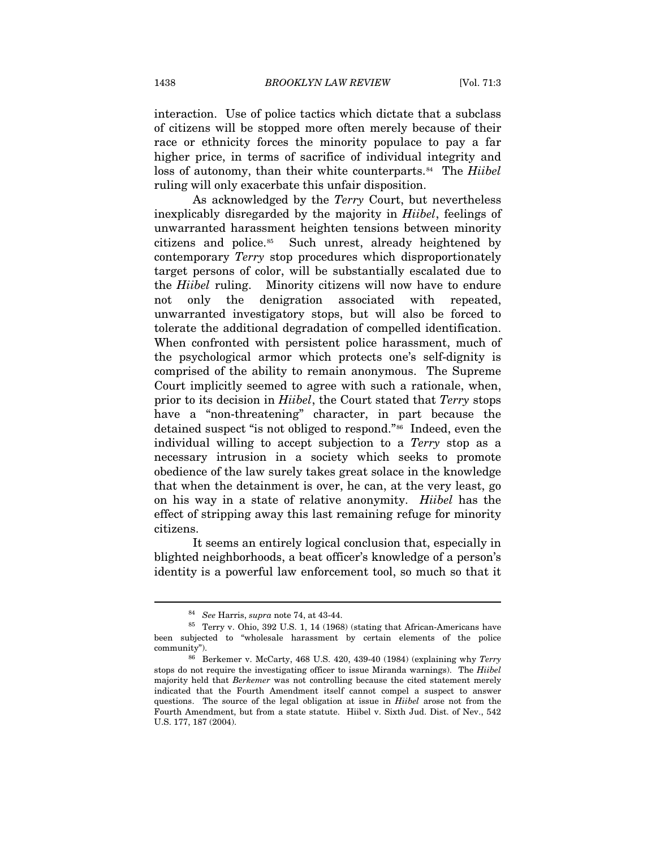interaction. Use of police tactics which dictate that a subclass of citizens will be stopped more often merely because of their race or ethnicity forces the minority populace to pay a far higher price, in terms of sacrifice of individual integrity and loss of autonomy, than their white counterparts.<sup>[8](#page-18-0)4</sup> The *Hiibel* ruling will only exacerbate this unfair disposition.

As acknowledged by the *Terry* Court, but nevertheless inexplicably disregarded by the majority in *Hiibel*, feelings of unwarranted harassment heighten tensions between minority citizens and police.[8](#page-18-1)5 Such unrest, already heightened by contemporary *Terry* stop procedures which disproportionately target persons of color, will be substantially escalated due to the *Hiibel* ruling. Minority citizens will now have to endure not only the denigration associated with repeated, unwarranted investigatory stops, but will also be forced to tolerate the additional degradation of compelled identification. When confronted with persistent police harassment, much of the psychological armor which protects one's self-dignity is comprised of the ability to remain anonymous. The Supreme Court implicitly seemed to agree with such a rationale, when, prior to its decision in *Hiibel*, the Court stated that *Terry* stops have a "non-threatening" character, in part because the detained suspect "is not obliged to respond."[8](#page-18-2)6 Indeed, even the individual willing to accept subjection to a *Terry* stop as a necessary intrusion in a society which seeks to promote obedience of the law surely takes great solace in the knowledge that when the detainment is over, he can, at the very least, go on his way in a state of relative anonymity. *Hiibel* has the effect of stripping away this last remaining refuge for minority citizens.

It seems an entirely logical conclusion that, especially in blighted neighborhoods, a beat officer's knowledge of a person's identity is a powerful law enforcement tool, so much so that it

<span id="page-18-1"></span><span id="page-18-0"></span> $^{84}$  See Harris, *supra* note 74, at 43-44.  $^{85}$  Terry v. Ohio, 392 U.S. 1, 14 (1968) (stating that African-Americans have been subjected to "wholesale harassment by certain elements of the police community"). 86 Berkemer v. McCarty, 468 U.S. 420, 439-40 (1984) (explaining why *Terry* 

<span id="page-18-2"></span>stops do not require the investigating officer to issue Miranda warnings). The *Hiibel*  majority held that *Berkemer* was not controlling because the cited statement merely indicated that the Fourth Amendment itself cannot compel a suspect to answer questions. The source of the legal obligation at issue in *Hiibel* arose not from the Fourth Amendment, but from a state statute. Hiibel v. Sixth Jud. Dist. of Nev., 542 U.S. 177, 187 (2004).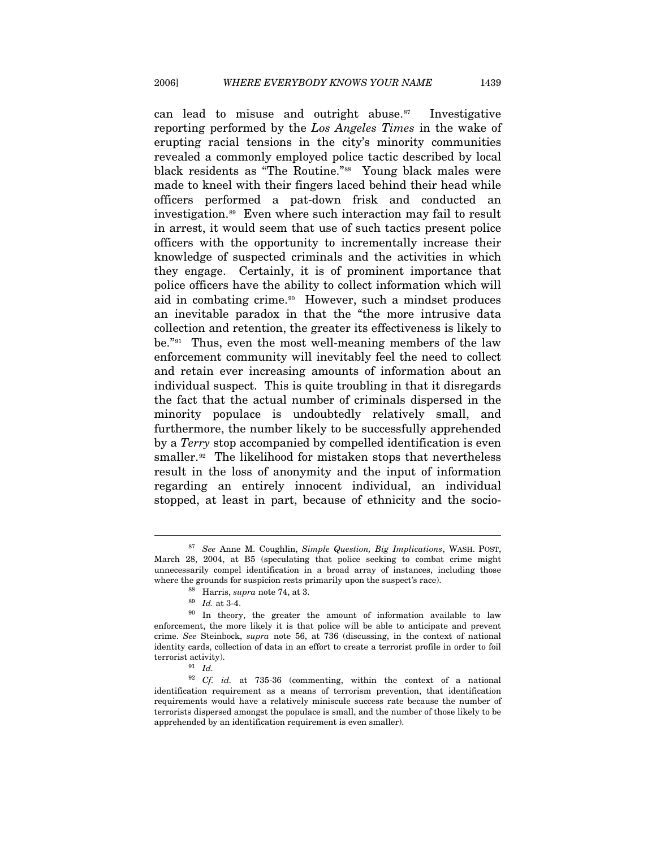can lead to misuse and outright abuse. $87$  $87$  Investigative reporting performed by the *Los Angeles Times* in the wake of erupting racial tensions in the city's minority communities revealed a commonly employed police tactic described by local black residents as "The Routine."[88](#page-19-1) Young black males were made to kneel with their fingers laced behind their head while officers performed a pat-down frisk and conducted an investigation.<sup>[8](#page-19-2)9</sup> Even where such interaction may fail to result in arrest, it would seem that use of such tactics present police officers with the opportunity to incrementally increase their knowledge of suspected criminals and the activities in which they engage. Certainly, it is of prominent importance that police officers have the ability to collect information which will aid in combating crime.<sup>[9](#page-19-3)0</sup> However, such a mindset produces an inevitable paradox in that the "the more intrusive data collection and retention, the greater its effectiveness is likely to be."[9](#page-19-4)1 Thus, even the most well-meaning members of the law enforcement community will inevitably feel the need to collect and retain ever increasing amounts of information about an individual suspect. This is quite troubling in that it disregards the fact that the actual number of criminals dispersed in the minority populace is undoubtedly relatively small, and furthermore, the number likely to be successfully apprehended by a *Terry* stop accompanied by compelled identification is even smaller.<sup>[92](#page-19-5)</sup> The likelihood for mistaken stops that nevertheless result in the loss of anonymity and the input of information regarding an entirely innocent individual, an individual stopped, at least in part, because of ethnicity and the socio-

<span id="page-19-0"></span><sup>87</sup> *See* Anne M. Coughlin, *Simple Question, Big Implications*, WASH. POST, March 28, 2004, at B5 (speculating that police seeking to combat crime might unnecessarily compel identification in a broad array of instances, including those where the grounds for suspicion rests primarily upon the suspect's race). <sup>88</sup> Harris, *supra* note 74, at 3. <sup>89</sup> *Id.* at 3-4.

<span id="page-19-3"></span><span id="page-19-2"></span><span id="page-19-1"></span><sup>&</sup>lt;sup>90</sup> In theory, the greater the amount of information available to law enforcement, the more likely it is that police will be able to anticipate and prevent crime. *See* Steinbock, *supra* note 56, at 736 (discussing, in the context of national identity cards, collection of data in an effort to create a terrorist profile in order to foil terrorist activity). 91 *Id.*

<span id="page-19-5"></span><span id="page-19-4"></span><sup>92</sup> *Cf. id.* at 735-36 (commenting, within the context of a national identification requirement as a means of terrorism prevention, that identification requirements would have a relatively miniscule success rate because the number of terrorists dispersed amongst the populace is small, and the number of those likely to be apprehended by an identification requirement is even smaller).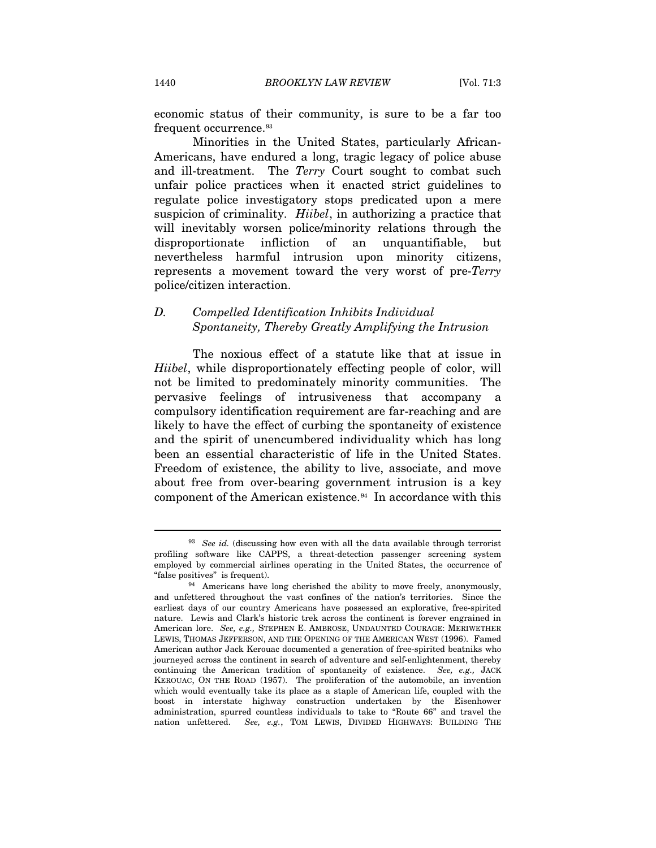economic status of their community, is sure to be a far too frequent occurrence.<sup>[9](#page-20-0)3</sup>

Minorities in the United States, particularly African-Americans, have endured a long, tragic legacy of police abuse and ill-treatment. The *Terry* Court sought to combat such unfair police practices when it enacted strict guidelines to regulate police investigatory stops predicated upon a mere suspicion of criminality. *Hiibel*, in authorizing a practice that will inevitably worsen police/minority relations through the disproportionate infliction of an unquantifiable, but nevertheless harmful intrusion upon minority citizens, represents a movement toward the very worst of pre-*Terry*  police/citizen interaction.

# *D. Compelled Identification Inhibits Individual Spontaneity, Thereby Greatly Amplifying the Intrusion*

The noxious effect of a statute like that at issue in *Hiibel*, while disproportionately effecting people of color, will not be limited to predominately minority communities. The pervasive feelings of intrusiveness that accompany a compulsory identification requirement are far-reaching and are likely to have the effect of curbing the spontaneity of existence and the spirit of unencumbered individuality which has long been an essential characteristic of life in the United States. Freedom of existence, the ability to live, associate, and move about free from over-bearing government intrusion is a key component of the American existence.<sup>[94](#page-20-1)</sup> In accordance with this

<span id="page-20-0"></span><sup>93</sup> *See id.* (discussing how even with all the data available through terrorist profiling software like CAPPS, a threat-detection passenger screening system employed by commercial airlines operating in the United States, the occurrence of "false positives" is frequent).

<span id="page-20-1"></span><sup>&</sup>lt;sup>94</sup> Americans have long cherished the ability to move freely, anonymously, and unfettered throughout the vast confines of the nation's territories. Since the earliest days of our country Americans have possessed an explorative, free-spirited nature. Lewis and Clark's historic trek across the continent is forever engrained in American lore. *See, e.g.,* STEPHEN E. AMBROSE, UNDAUNTED COURAGE: MERIWETHER LEWIS, THOMAS JEFFERSON, AND THE OPENING OF THE AMERICAN WEST (1996). Famed American author Jack Kerouac documented a generation of free-spirited beatniks who journeyed across the continent in search of adventure and self-enlightenment, thereby continuing the American tradition of spontaneity of existence. *See, e.g.,* JACK KEROUAC, ON THE ROAD (1957). The proliferation of the automobile, an invention which would eventually take its place as a staple of American life, coupled with the boost in interstate highway construction undertaken by the Eisenhower administration, spurred countless individuals to take to "Route 66" and travel the nation unfettered. *See, e.g.*, TOM LEWIS, DIVIDED HIGHWAYS: BUILDING THE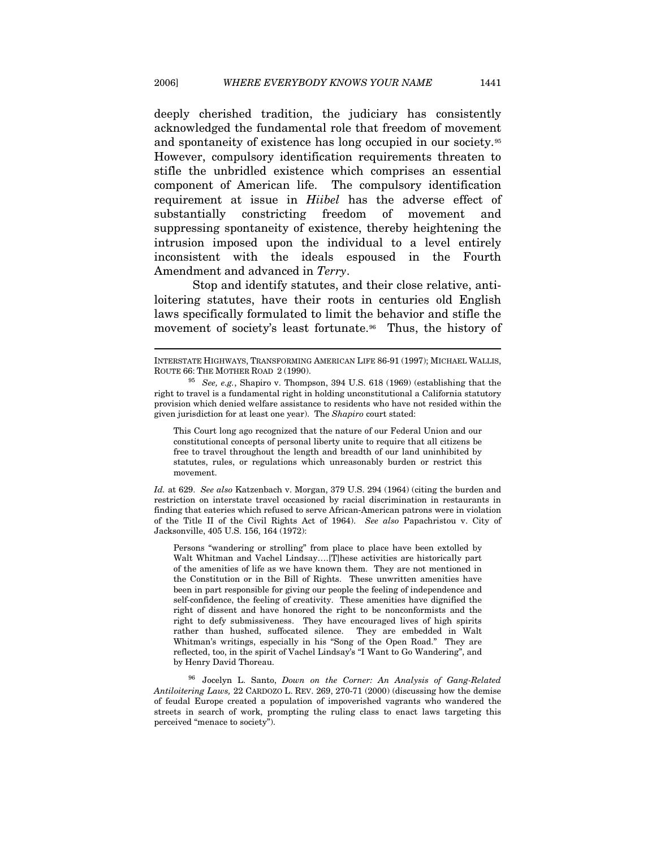deeply cherished tradition, the judiciary has consistently acknowledged the fundamental role that freedom of movement and spontaneity of existence has long occupied in our society.[95](#page-21-0) However, compulsory identification requirements threaten to stifle the unbridled existence which comprises an essential component of American life. The compulsory identification requirement at issue in *Hiibel* has the adverse effect of substantially constricting freedom of movement and suppressing spontaneity of existence, thereby heightening the intrusion imposed upon the individual to a level entirely inconsistent with the ideals espoused in the Fourth Amendment and advanced in *Terry*.

Stop and identify statutes, and their close relative, antiloitering statutes, have their roots in centuries old English laws specifically formulated to limit the behavior and stifle the movement of society's least fortunate.<sup>[96](#page-21-1)</sup> Thus, the history of

 $\overline{a}$ 

This Court long ago recognized that the nature of our Federal Union and our constitutional concepts of personal liberty unite to require that all citizens be free to travel throughout the length and breadth of our land uninhibited by statutes, rules, or regulations which unreasonably burden or restrict this movement.

*Id.* at 629. *See also* Katzenbach v. Morgan, 379 U.S. 294 (1964) (citing the burden and restriction on interstate travel occasioned by racial discrimination in restaurants in finding that eateries which refused to serve African-American patrons were in violation of the Title II of the Civil Rights Act of 1964). *See also* Papachristou v. City of Jacksonville, 405 U.S. 156, 164 (1972):

Persons "wandering or strolling" from place to place have been extolled by Walt Whitman and Vachel Lindsay….[T]hese activities are historically part of the amenities of life as we have known them. They are not mentioned in the Constitution or in the Bill of Rights. These unwritten amenities have been in part responsible for giving our people the feeling of independence and self-confidence, the feeling of creativity. These amenities have dignified the right of dissent and have honored the right to be nonconformists and the right to defy submissiveness. They have encouraged lives of high spirits rather than hushed, suffocated silence. They are embedded in Walt Whitman's writings, especially in his "Song of the Open Road." They are reflected, too, in the spirit of Vachel Lindsay's "I Want to Go Wandering", and by Henry David Thoreau.

<span id="page-21-1"></span>96 Jocelyn L. Santo, *Down on the Corner: An Analysis of Gang-Related Antiloitering Laws,* 22 CARDOZO L. REV. 269, 270-71 (2000) (discussing how the demise of feudal Europe created a population of impoverished vagrants who wandered the streets in search of work, prompting the ruling class to enact laws targeting this perceived "menace to society").

INTERSTATE HIGHWAYS, TRANSFORMING AMERICAN LIFE 86-91 (1997); MICHAEL WALLIS, ROUTE 66: THE MOTHER ROAD 2 (1990).

<span id="page-21-0"></span><sup>95</sup> *See, e.g.*, Shapiro v. Thompson, 394 U.S. 618 (1969) (establishing that the right to travel is a fundamental right in holding unconstitutional a California statutory provision which denied welfare assistance to residents who have not resided within the given jurisdiction for at least one year). The *Shapiro* court stated: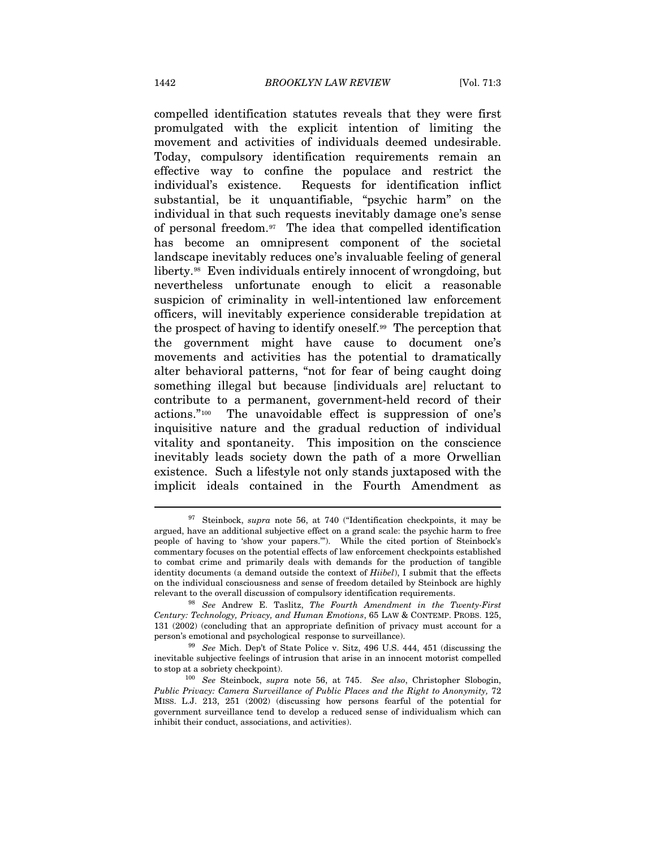compelled identification statutes reveals that they were first promulgated with the explicit intention of limiting the movement and activities of individuals deemed undesirable. Today, compulsory identification requirements remain an effective way to confine the populace and restrict the individual's existence. Requests for identification inflict substantial, be it unquantifiable, "psychic harm" on the individual in that such requests inevitably damage one's sense of personal freedom.[9](#page-22-0)7 The idea that compelled identification has become an omnipresent component of the societal landscape inevitably reduces one's invaluable feeling of general liberty.[9](#page-22-1)8 Even individuals entirely innocent of wrongdoing, but nevertheless unfortunate enough to elicit a reasonable suspicion of criminality in well-intentioned law enforcement officers, will inevitably experience considerable trepidation at the prospect of having to identify oneself.[99](#page-22-2) The perception that the government might have cause to document one's movements and activities has the potential to dramatically alter behavioral patterns, "not for fear of being caught doing something illegal but because [individuals are] reluctant to contribute to a permanent, government-held record of their actions."[10](#page-22-3)0 The unavoidable effect is suppression of one's inquisitive nature and the gradual reduction of individual vitality and spontaneity. This imposition on the conscience inevitably leads society down the path of a more Orwellian existence. Such a lifestyle not only stands juxtaposed with the implicit ideals contained in the Fourth Amendment as

<span id="page-22-0"></span><sup>97</sup> Steinbock, *supra* note 56, at 740 ("Identification checkpoints, it may be argued, have an additional subjective effect on a grand scale: the psychic harm to free people of having to 'show your papers.'"). While the cited portion of Steinbock's commentary focuses on the potential effects of law enforcement checkpoints established to combat crime and primarily deals with demands for the production of tangible identity documents (a demand outside the context of *Hiibel*), I submit that the effects on the individual consciousness and sense of freedom detailed by Steinbock are highly relevant to the overall discussion of compulsory identification requirements. 98 *See* Andrew E. Taslitz, *The Fourth Amendment in the Twenty-First* 

<span id="page-22-1"></span>*Century: Technology, Privacy, and Human Emotions*, 65 LAW & CONTEMP. PROBS. 125, 131 (2002) (concluding that an appropriate definition of privacy must account for a person's emotional and psychological response to surveillance). 99 *See* Mich. Dep't of State Police v. Sitz, 496 U.S. 444, 451 (discussing the

<span id="page-22-2"></span>inevitable subjective feelings of intrusion that arise in an innocent motorist compelled to stop at a sobriety checkpoint). 100 *See* Steinbock, *supra* note 56, at 745. *See also*, Christopher Slobogin,

<span id="page-22-3"></span>*Public Privacy: Camera Surveillance of Public Places and the Right to Anonymity, 72* MISS. L.J. 213, 251 (2002) (discussing how persons fearful of the potential for government surveillance tend to develop a reduced sense of individualism which can inhibit their conduct, associations, and activities).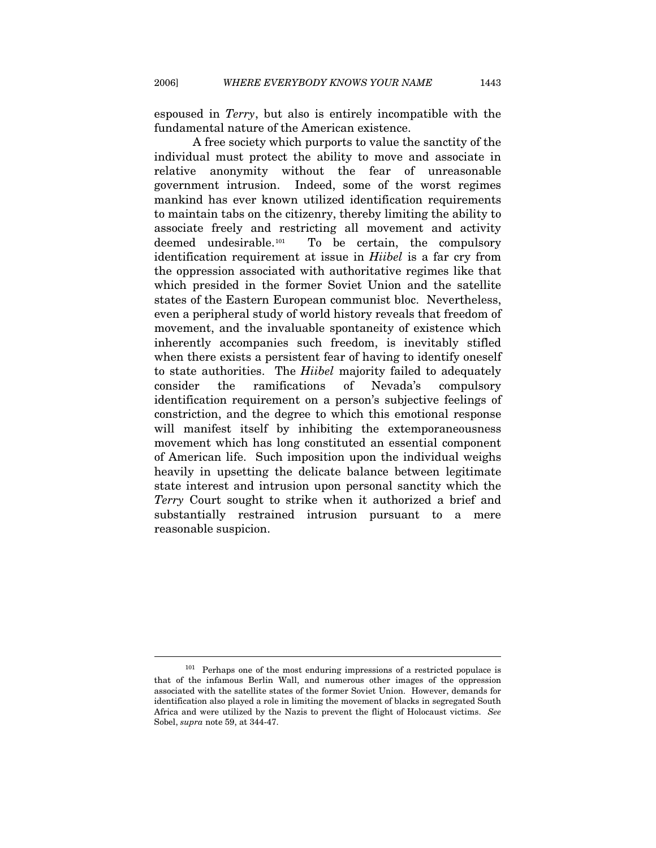espoused in *Terry*, but also is entirely incompatible with the fundamental nature of the American existence.

A free society which purports to value the sanctity of the individual must protect the ability to move and associate in relative anonymity without the fear of unreasonable government intrusion. Indeed, some of the worst regimes mankind has ever known utilized identification requirements to maintain tabs on the citizenry, thereby limiting the ability to associate freely and restricting all movement and activity deemed undesirable.[1](#page-23-0)01 To be certain, the compulsory identification requirement at issue in *Hiibel* is a far cry from the oppression associated with authoritative regimes like that which presided in the former Soviet Union and the satellite states of the Eastern European communist bloc. Nevertheless, even a peripheral study of world history reveals that freedom of movement, and the invaluable spontaneity of existence which inherently accompanies such freedom, is inevitably stifled when there exists a persistent fear of having to identify oneself to state authorities. The *Hiibel* majority failed to adequately consider the ramifications of Nevada's compulsory identification requirement on a person's subjective feelings of constriction, and the degree to which this emotional response will manifest itself by inhibiting the extemporaneousness movement which has long constituted an essential component of American life. Such imposition upon the individual weighs heavily in upsetting the delicate balance between legitimate state interest and intrusion upon personal sanctity which the *Terry* Court sought to strike when it authorized a brief and substantially restrained intrusion pursuant to a mere reasonable suspicion.

l

<span id="page-23-0"></span> $101$  Perhaps one of the most enduring impressions of a restricted populace is that of the infamous Berlin Wall, and numerous other images of the oppression associated with the satellite states of the former Soviet Union. However, demands for identification also played a role in limiting the movement of blacks in segregated South Africa and were utilized by the Nazis to prevent the flight of Holocaust victims. *See*  Sobel, *supra* note 59, at 344-47.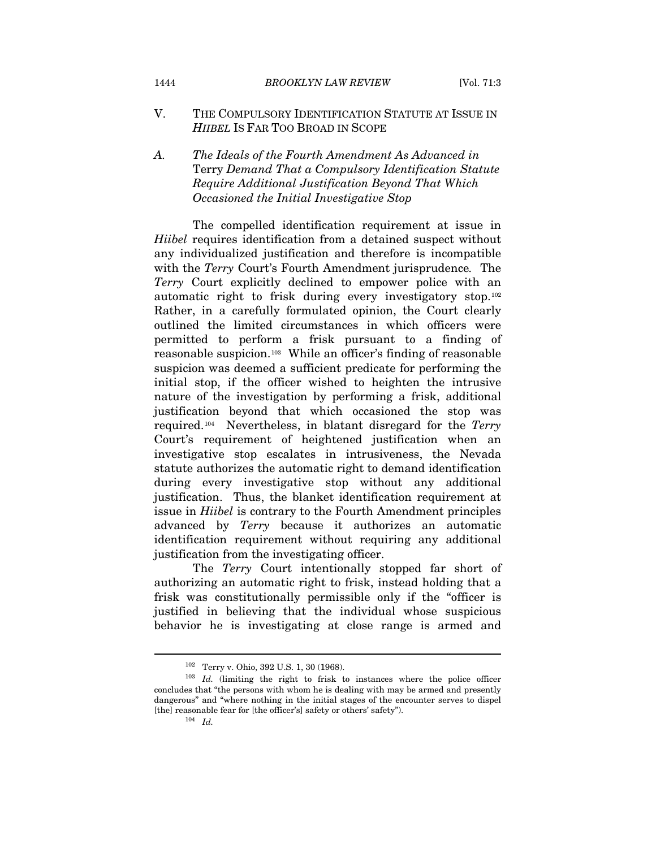- V. THE COMPULSORY IDENTIFICATION STATUTE AT ISSUE IN *HIIBEL* IS FAR TOO BROAD IN SCOPE
- *A. The Ideals of the Fourth Amendment As Advanced in*  Terry *Demand That a Compulsory Identification Statute Require Additional Justification Beyond That Which Occasioned the Initial Investigative Stop*

The compelled identification requirement at issue in *Hiibel* requires identification from a detained suspect without any individualized justification and therefore is incompatible with the *Terry* Court's Fourth Amendment jurisprudence*.* The *Terry* Court explicitly declined to empower police with an automatic right to frisk during every investigatory stop.[10](#page-24-0)2 Rather, in a carefully formulated opinion, the Court clearly outlined the limited circumstances in which officers were permitted to perform a frisk pursuant to a finding of reasonable suspicion.[1](#page-24-1)03 While an officer's finding of reasonable suspicion was deemed a sufficient predicate for performing the initial stop, if the officer wished to heighten the intrusive nature of the investigation by performing a frisk, additional justification beyond that which occasioned the stop was required.[1](#page-24-2)04 Nevertheless, in blatant disregard for the *Terry*  Court's requirement of heightened justification when an investigative stop escalates in intrusiveness, the Nevada statute authorizes the automatic right to demand identification during every investigative stop without any additional justification. Thus, the blanket identification requirement at issue in *Hiibel* is contrary to the Fourth Amendment principles advanced by *Terry* because it authorizes an automatic identification requirement without requiring any additional justification from the investigating officer.

The *Terry* Court intentionally stopped far short of authorizing an automatic right to frisk, instead holding that a frisk was constitutionally permissible only if the "officer is justified in believing that the individual whose suspicious behavior he is investigating at close range is armed and

<span id="page-24-2"></span><span id="page-24-1"></span><span id="page-24-0"></span><sup>&</sup>lt;sup>102</sup> Terry v. Ohio, 392 U.S. 1, 30 (1968). <sup>103</sup> *Id.* (limiting the right to frisk to instances where the police officer concludes that "the persons with whom he is dealing with may be armed and presently dangerous" and "where nothing in the initial stages of the encounter serves to dispel [the] reasonable fear for [the officer's] safety or others' safety").  $104$  *Id.*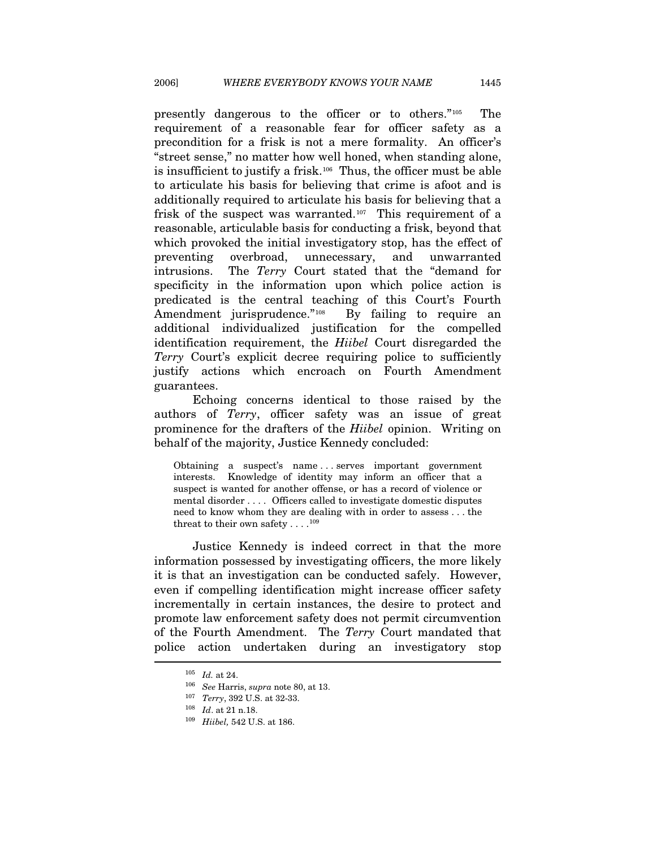presently dangerous to the officer or to others."[1](#page-25-0)05 The requirement of a reasonable fear for officer safety as a precondition for a frisk is not a mere formality. An officer's "street sense," no matter how well honed, when standing alone, is insufficient to justify a frisk.[1](#page-25-1)06 Thus, the officer must be able to articulate his basis for believing that crime is afoot and is additionally required to articulate his basis for believing that a frisk of the suspect was warranted.[10](#page-25-2)7 This requirement of a reasonable, articulable basis for conducting a frisk, beyond that which provoked the initial investigatory stop, has the effect of preventing overbroad, unnecessary, and unwarranted intrusions. The *Terry* Court stated that the "demand for specificity in the information upon which police action is predicated is the central teaching of this Court's Fourth Amendment jurisprudence."<sup>[1](#page-25-3)08</sup> By failing to require an additional individualized justification for the compelled identification requirement, the *Hiibel* Court disregarded the *Terry* Court's explicit decree requiring police to sufficiently justify actions which encroach on Fourth Amendment guarantees.

Echoing concerns identical to those raised by the authors of *Terry*, officer safety was an issue of great prominence for the drafters of the *Hiibel* opinion. Writing on behalf of the majority, Justice Kennedy concluded:

Obtaining a suspect's name . . . serves important government interests. Knowledge of identity may inform an officer that a suspect is wanted for another offense, or has a record of violence or mental disorder . . . . Officers called to investigate domestic disputes need to know whom they are dealing with in order to assess . . . the threat to their own safety  $\dots$ .<sup>[10](#page-25-4)9</sup>

Justice Kennedy is indeed correct in that the more information possessed by investigating officers, the more likely it is that an investigation can be conducted safely. However, even if compelling identification might increase officer safety incrementally in certain instances, the desire to protect and promote law enforcement safety does not permit circumvention of the Fourth Amendment. The *Terry* Court mandated that police action undertaken during an investigatory stop

<span id="page-25-1"></span><span id="page-25-0"></span><sup>105</sup> *Id.* at 24. 106 *See* Harris, *supra* note 80, at 13.

<span id="page-25-3"></span><span id="page-25-2"></span><sup>107</sup> *Terry*, 392 U.S. at 32-33. 108 *Id*. at 21 n.18. 109 *Hiibel,* 542 U.S. at 186.

<span id="page-25-4"></span>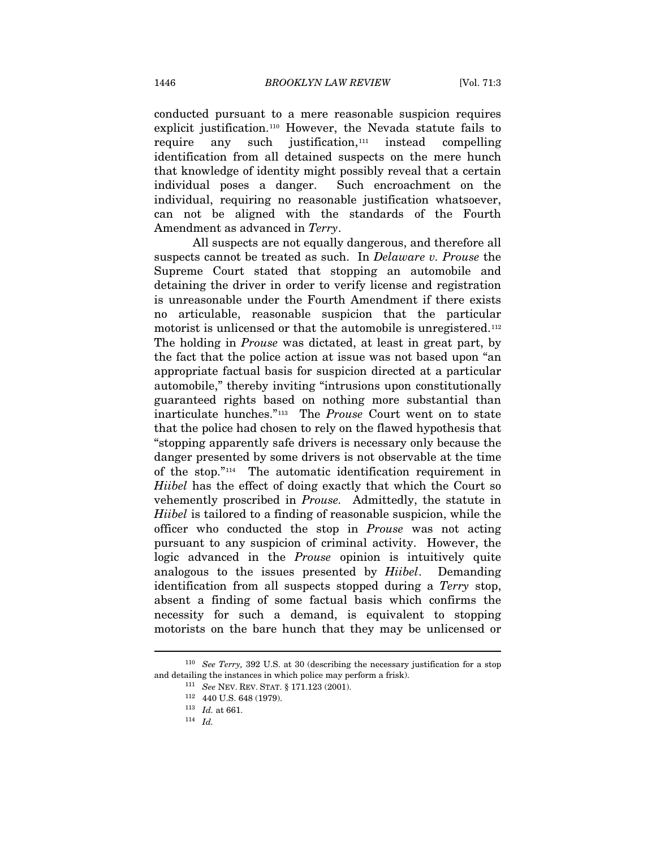conducted pursuant to a mere reasonable suspicion requires explicit justification.[11](#page-26-0)0 However, the Nevada statute fails to require any such justification, $111$  $111$  instead compelling identification from all detained suspects on the mere hunch that knowledge of identity might possibly reveal that a certain individual poses a danger. Such encroachment on the individual, requiring no reasonable justification whatsoever, can not be aligned with the standards of the Fourth Amendment as advanced in *Terry*.

All suspects are not equally dangerous, and therefore all suspects cannot be treated as such. In *Delaware v. Prouse* the Supreme Court stated that stopping an automobile and detaining the driver in order to verify license and registration is unreasonable under the Fourth Amendment if there exists no articulable, reasonable suspicion that the particular motorist is unlicensed or that the automobile is unregistered.<sup>[11](#page-26-2)2</sup> The holding in *Prouse* was dictated, at least in great part, by the fact that the police action at issue was not based upon "an appropriate factual basis for suspicion directed at a particular automobile," thereby inviting "intrusions upon constitutionally guaranteed rights based on nothing more substantial than inarticulate hunches."[11](#page-26-3)3 The *Prouse* Court went on to state that the police had chosen to rely on the flawed hypothesis that "stopping apparently safe drivers is necessary only because the danger presented by some drivers is not observable at the time of the stop."[11](#page-26-4)4 The automatic identification requirement in *Hiibel* has the effect of doing exactly that which the Court so vehemently proscribed in *Prouse.* Admittedly, the statute in *Hiibel* is tailored to a finding of reasonable suspicion, while the officer who conducted the stop in *Prouse* was not acting pursuant to any suspicion of criminal activity. However, the logic advanced in the *Prouse* opinion is intuitively quite analogous to the issues presented by *Hiibel*. Demanding identification from all suspects stopped during a *Terry* stop, absent a finding of some factual basis which confirms the necessity for such a demand, is equivalent to stopping motorists on the bare hunch that they may be unlicensed or

<span id="page-26-4"></span><span id="page-26-3"></span><span id="page-26-2"></span><span id="page-26-1"></span><span id="page-26-0"></span><sup>110</sup> *See Terry,* 392 U.S. at 30 (describing the necessary justification for a stop and detailing the instances in which police may perform a frisk).<br><sup>111</sup> *See* NEV. REV. STAT. § 171.123 (2001).

<sup>112 440</sup> U.S. 648 (1979). 113 *Id.* at 661. 114 *Id.*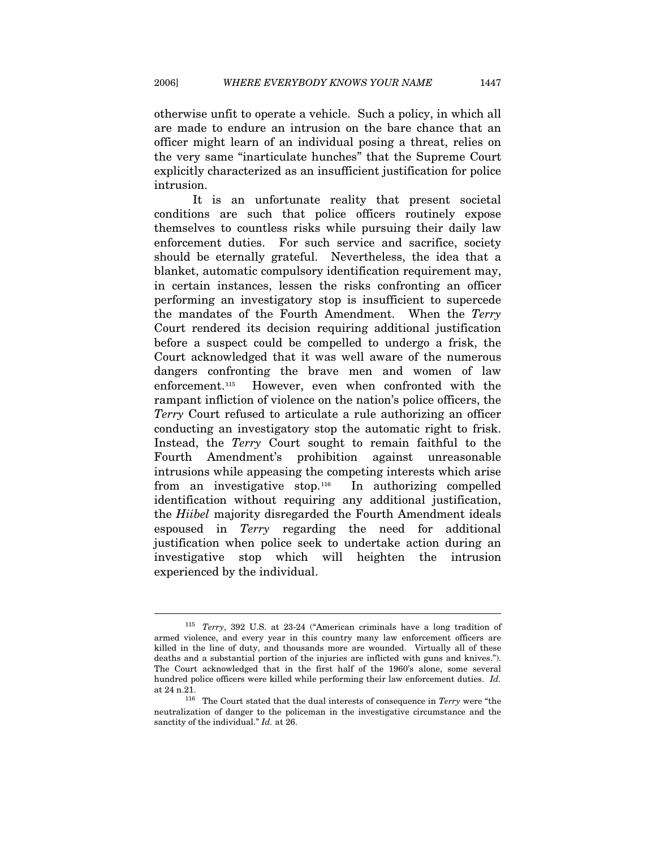otherwise unfit to operate a vehicle. Such a policy, in which all are made to endure an intrusion on the bare chance that an officer might learn of an individual posing a threat, relies on the very same "inarticulate hunches" that the Supreme Court explicitly characterized as an insufficient justification for police intrusion.

It is an unfortunate reality that present societal conditions are such that police officers routinely expose themselves to countless risks while pursuing their daily law enforcement duties. For such service and sacrifice, society should be eternally grateful. Nevertheless, the idea that a blanket, automatic compulsory identification requirement may, in certain instances, lessen the risks confronting an officer performing an investigatory stop is insufficient to supercede the mandates of the Fourth Amendment. When the *Terry*  Court rendered its decision requiring additional justification before a suspect could be compelled to undergo a frisk, the Court acknowledged that it was well aware of the numerous dangers confronting the brave men and women of law enforcement.[11](#page-27-0)5 However, even when confronted with the rampant infliction of violence on the nation's police officers, the *Terry* Court refused to articulate a rule authorizing an officer conducting an investigatory stop the automatic right to frisk. Instead, the *Terry* Court sought to remain faithful to the Fourth Amendment's prohibition against unreasonable intrusions while appeasing the competing interests which arise from an investigative stop.[11](#page-27-1)6 In authorizing compelled identification without requiring any additional justification, the *Hiibel* majority disregarded the Fourth Amendment ideals espoused in *Terry* regarding the need for additional justification when police seek to undertake action during an investigative stop which will heighten the intrusion experienced by the individual.

<span id="page-27-0"></span><sup>115</sup> *Terry*, 392 U.S. at 23-24 ("American criminals have a long tradition of armed violence, and every year in this country many law enforcement officers are killed in the line of duty, and thousands more are wounded. Virtually all of these deaths and a substantial portion of the injuries are inflicted with guns and knives."). The Court acknowledged that in the first half of the 1960's alone, some several hundred police officers were killed while performing their law enforcement duties. *Id.*  at 24 n.21. 116 The Court stated that the dual interests of consequence in *Terry* were "the

<span id="page-27-1"></span>neutralization of danger to the policeman in the investigative circumstance and the sanctity of the individual." *Id.* at 26.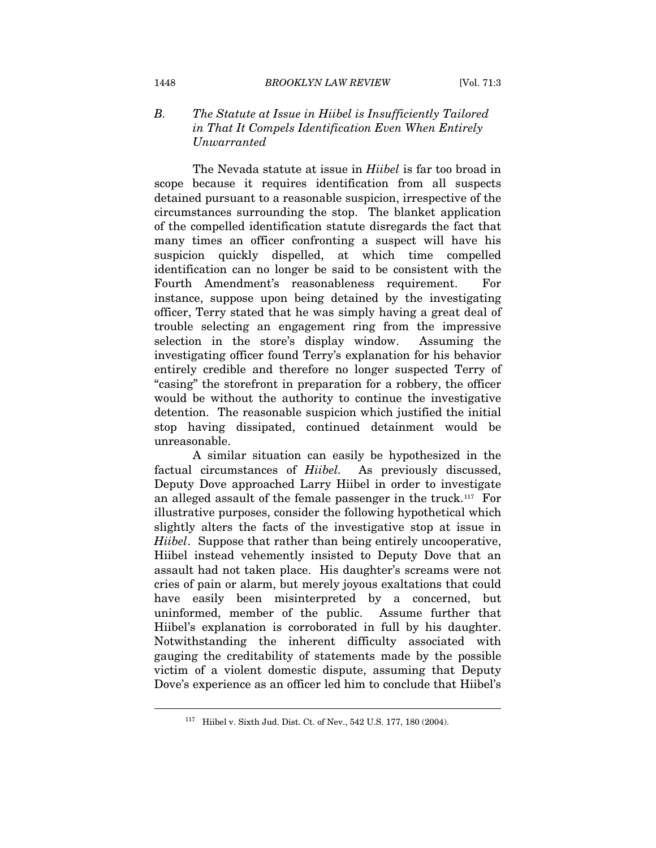# *B. The Statute at Issue in Hiibel is Insufficiently Tailored in That It Compels Identification Even When Entirely Unwarranted*

The Nevada statute at issue in *Hiibel* is far too broad in scope because it requires identification from all suspects detained pursuant to a reasonable suspicion, irrespective of the circumstances surrounding the stop. The blanket application of the compelled identification statute disregards the fact that many times an officer confronting a suspect will have his suspicion quickly dispelled, at which time compelled identification can no longer be said to be consistent with the Fourth Amendment's reasonableness requirement. For instance, suppose upon being detained by the investigating officer, Terry stated that he was simply having a great deal of trouble selecting an engagement ring from the impressive selection in the store's display window. Assuming the investigating officer found Terry's explanation for his behavior entirely credible and therefore no longer suspected Terry of "casing" the storefront in preparation for a robbery, the officer would be without the authority to continue the investigative detention. The reasonable suspicion which justified the initial stop having dissipated, continued detainment would be unreasonable.

A similar situation can easily be hypothesized in the factual circumstances of *Hiibel.* As previously discussed, Deputy Dove approached Larry Hiibel in order to investigate an alleged assault of the female passenger in the truck.[1](#page-28-0)17 For illustrative purposes, consider the following hypothetical which slightly alters the facts of the investigative stop at issue in *Hiibel*. Suppose that rather than being entirely uncooperative, Hiibel instead vehemently insisted to Deputy Dove that an assault had not taken place. His daughter's screams were not cries of pain or alarm, but merely joyous exaltations that could have easily been misinterpreted by a concerned, but uninformed, member of the public. Assume further that Hiibel's explanation is corroborated in full by his daughter. Notwithstanding the inherent difficulty associated with gauging the creditability of statements made by the possible victim of a violent domestic dispute, assuming that Deputy Dove's experience as an officer led him to conclude that Hiibel's

<span id="page-28-0"></span><sup>117</sup> Hiibel v. Sixth Jud. Dist. Ct. of Nev., 542 U.S. 177, 180 (2004).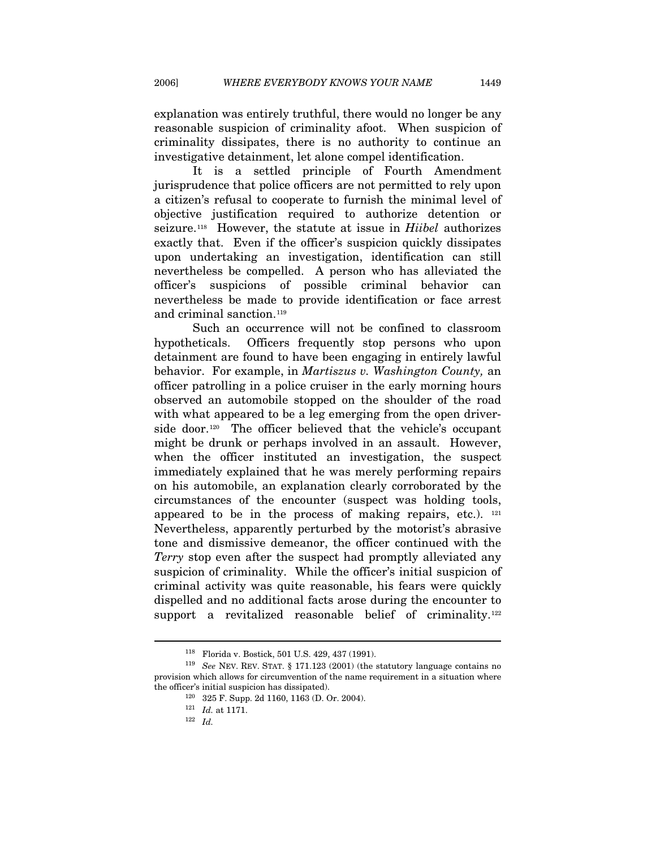explanation was entirely truthful, there would no longer be any reasonable suspicion of criminality afoot. When suspicion of criminality dissipates, there is no authority to continue an investigative detainment, let alone compel identification.

It is a settled principle of Fourth Amendment jurisprudence that police officers are not permitted to rely upon a citizen's refusal to cooperate to furnish the minimal level of objective justification required to authorize detention or seizure.[1](#page-29-0)18 However, the statute at issue in *Hiibel* authorizes exactly that. Even if the officer's suspicion quickly dissipates upon undertaking an investigation, identification can still nevertheless be compelled. A person who has alleviated the officer's suspicions of possible criminal behavior can nevertheless be made to provide identification or face arrest and criminal sanction.<sup>[1](#page-29-1)19</sup>

Such an occurrence will not be confined to classroom hypotheticals. Officers frequently stop persons who upon detainment are found to have been engaging in entirely lawful behavior. For example, in *Martiszus v. Washington County,* an officer patrolling in a police cruiser in the early morning hours observed an automobile stopped on the shoulder of the road with what appeared to be a leg emerging from the open driver-side door.<sup>[12](#page-29-2)0</sup> The officer believed that the vehicle's occupant might be drunk or perhaps involved in an assault. However, when the officer instituted an investigation, the suspect immediately explained that he was merely performing repairs on his automobile, an explanation clearly corroborated by the circumstances of the encounter (suspect was holding tools, appeared to be in the process of making repairs, etc.).  $121$  $121$ Nevertheless, apparently perturbed by the motorist's abrasive tone and dismissive demeanor, the officer continued with the *Terry* stop even after the suspect had promptly alleviated any suspicion of criminality. While the officer's initial suspicion of criminal activity was quite reasonable, his fears were quickly dispelled and no additional facts arose during the encounter to support a revitalized reasonable belief of criminality.<sup>[12](#page-29-4)2</sup>

<span id="page-29-4"></span><span id="page-29-3"></span><span id="page-29-2"></span><span id="page-29-1"></span><span id="page-29-0"></span><sup>118</sup> Florida v. Bostick, 501 U.S. 429, 437 (1991). 119 *See* NEV. REV. STAT. § 171.123 (2001) (the statutory language contains no provision which allows for circumvention of the name requirement in a situation where the officer's initial suspicion has dissipated).<br><sup>120</sup> 325 F. Supp. 2d 1160, 1163 (D. Or. 2004).<br><sup>121</sup> *Id.* at 1171.<br><sup>122</sup> *Id.*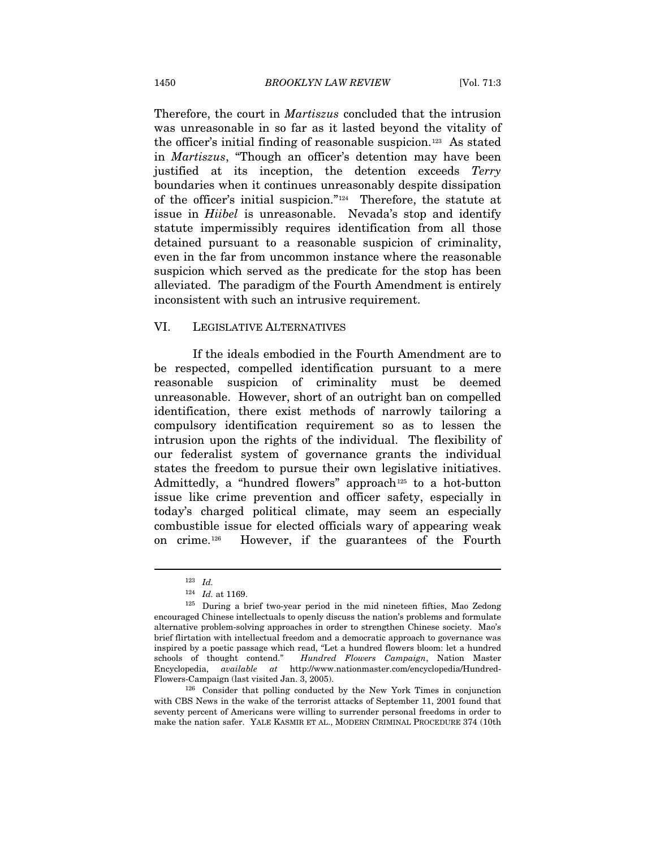Therefore, the court in *Martiszus* concluded that the intrusion was unreasonable in so far as it lasted beyond the vitality of the officer's initial finding of reasonable suspicion.[1](#page-30-0)23 As stated in *Martiszus*, "Though an officer's detention may have been justified at its inception, the detention exceeds *Terry* boundaries when it continues unreasonably despite dissipation of the officer's initial suspicion."[1](#page-30-1)24 Therefore, the statute at issue in *Hiibel* is unreasonable. Nevada's stop and identify statute impermissibly requires identification from all those detained pursuant to a reasonable suspicion of criminality, even in the far from uncommon instance where the reasonable suspicion which served as the predicate for the stop has been alleviated. The paradigm of the Fourth Amendment is entirely inconsistent with such an intrusive requirement.

#### VI. LEGISLATIVE ALTERNATIVES

If the ideals embodied in the Fourth Amendment are to be respected, compelled identification pursuant to a mere reasonable suspicion of criminality must be deemed unreasonable. However, short of an outright ban on compelled identification, there exist methods of narrowly tailoring a compulsory identification requirement so as to lessen the intrusion upon the rights of the individual. The flexibility of our federalist system of governance grants the individual states the freedom to pursue their own legislative initiatives. Admittedly, a "hundred flowers" approach<sup>[12](#page-30-2)5</sup> to a hot-button issue like crime prevention and officer safety, especially in today's charged political climate, may seem an especially combustible issue for elected officials wary of appearing weak on crime.[1](#page-30-3)26 However, if the guarantees of the Fourth

<sup>123</sup> *Id.* 

<span id="page-30-2"></span><span id="page-30-1"></span><span id="page-30-0"></span><sup>&</sup>lt;sup>124</sup> *Id.* at 1169.<br><sup>125</sup> During a brief two-year period in the mid nineteen fifties, Mao Zedong encouraged Chinese intellectuals to openly discuss the nation's problems and formulate alternative problem-solving approaches in order to strengthen Chinese society. Mao's brief flirtation with intellectual freedom and a democratic approach to governance was inspired by a poetic passage which read, "Let a hundred flowers bloom: let a hundred schools of thought contend." *Hundred Flowers Campaign*, Nation Master Encyclopedia, *available at* http://www.nationmaster.com/encyclopedia/Hundred-Flowers-Campaign (last visited Jan. 3, 2005). <sup>126</sup> Consider that polling conducted by the New York Times in conjunction

<span id="page-30-3"></span>with CBS News in the wake of the terrorist attacks of September 11, 2001 found that seventy percent of Americans were willing to surrender personal freedoms in order to make the nation safer. YALE KASMIR ET AL., MODERN CRIMINAL PROCEDURE 374 (10th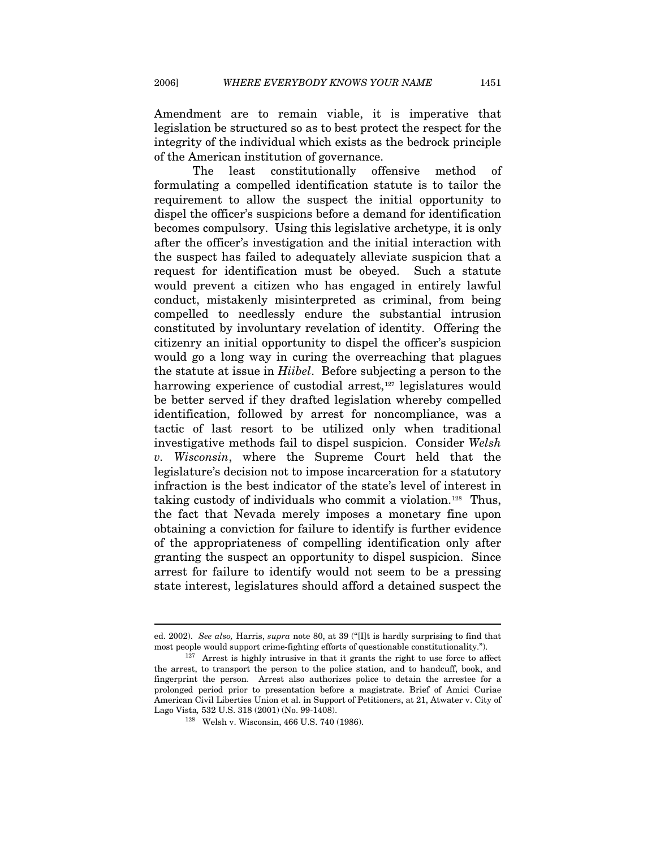Amendment are to remain viable, it is imperative that legislation be structured so as to best protect the respect for the integrity of the individual which exists as the bedrock principle of the American institution of governance.

The least constitutionally offensive method of formulating a compelled identification statute is to tailor the requirement to allow the suspect the initial opportunity to dispel the officer's suspicions before a demand for identification becomes compulsory. Using this legislative archetype, it is only after the officer's investigation and the initial interaction with the suspect has failed to adequately alleviate suspicion that a request for identification must be obeyed. Such a statute would prevent a citizen who has engaged in entirely lawful conduct, mistakenly misinterpreted as criminal, from being compelled to needlessly endure the substantial intrusion constituted by involuntary revelation of identity. Offering the citizenry an initial opportunity to dispel the officer's suspicion would go a long way in curing the overreaching that plagues the statute at issue in *Hiibel*. Before subjecting a person to the harrowing experience of custodial arrest,<sup>[1](#page-31-0)27</sup> legislatures would be better served if they drafted legislation whereby compelled identification, followed by arrest for noncompliance, was a tactic of last resort to be utilized only when traditional investigative methods fail to dispel suspicion. Consider *Welsh v. Wisconsin*, where the Supreme Court held that the legislature's decision not to impose incarceration for a statutory infraction is the best indicator of the state's level of interest in taking custody of individuals who commit a violation.[1](#page-31-1)28 Thus, the fact that Nevada merely imposes a monetary fine upon obtaining a conviction for failure to identify is further evidence of the appropriateness of compelling identification only after granting the suspect an opportunity to dispel suspicion. Since arrest for failure to identify would not seem to be a pressing state interest, legislatures should afford a detained suspect the

ed. 2002). *See also,* Harris, *supra* note 80, at 39 ("[I]t is hardly surprising to find that most people would support crime-fighting efforts of questionable constitutionality.").<br><sup>127</sup> Arrest is highly intrusive in that it grants the right to use force to affect

<span id="page-31-1"></span><span id="page-31-0"></span>the arrest, to transport the person to the police station, and to handcuff, book, and fingerprint the person. Arrest also authorizes police to detain the arrestee for a prolonged period prior to presentation before a magistrate. Brief of Amici Curiae American Civil Liberties Union et al. in Support of Petitioners, at 21, Atwater v. City of Lago Vista*,* 532 U.S. 318 (2001) (No. 99-1408). 128 Welsh v. Wisconsin, 466 U.S. 740 (1986).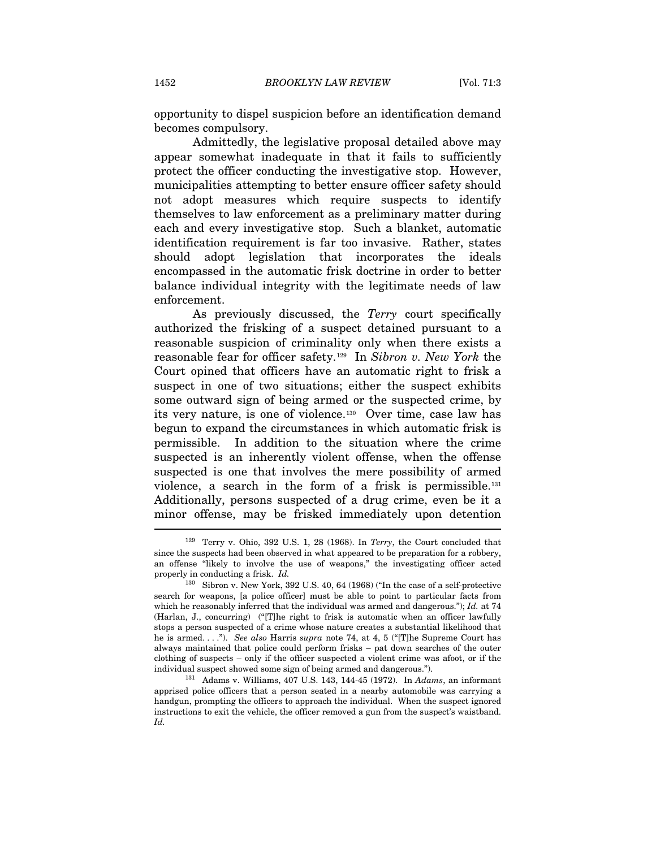opportunity to dispel suspicion before an identification demand becomes compulsory.

Admittedly, the legislative proposal detailed above may appear somewhat inadequate in that it fails to sufficiently protect the officer conducting the investigative stop. However, municipalities attempting to better ensure officer safety should not adopt measures which require suspects to identify themselves to law enforcement as a preliminary matter during each and every investigative stop. Such a blanket, automatic identification requirement is far too invasive. Rather, states should adopt legislation that incorporates the ideals encompassed in the automatic frisk doctrine in order to better balance individual integrity with the legitimate needs of law enforcement.

As previously discussed, the *Terry* court specifically authorized the frisking of a suspect detained pursuant to a reasonable suspicion of criminality only when there exists a reasonable fear for officer safety.[12](#page-32-0)9 In *Sibron v. New York* the Court opined that officers have an automatic right to frisk a suspect in one of two situations; either the suspect exhibits some outward sign of being armed or the suspected crime, by its very nature, is one of violence.[1](#page-32-1)30 Over time, case law has begun to expand the circumstances in which automatic frisk is permissible. In addition to the situation where the crime suspected is an inherently violent offense, when the offense suspected is one that involves the mere possibility of armed violence, a search in the form of a frisk is permissible.[13](#page-32-2)1 Additionally, persons suspected of a drug crime, even be it a minor offense, may be frisked immediately upon detention

<span id="page-32-0"></span><sup>129</sup> Terry v. Ohio, 392 U.S. 1, 28 (1968). In *Terry*, the Court concluded that since the suspects had been observed in what appeared to be preparation for a robbery, an offense "likely to involve the use of weapons," the investigating officer acted properly in conducting a frisk. *Id.* 130 Sibron v. New York, 392 U.S. 40, 64 (1968) ("In the case of a self-protective

<span id="page-32-1"></span>search for weapons, [a police officer] must be able to point to particular facts from which he reasonably inferred that the individual was armed and dangerous."); *Id.* at 74 (Harlan, J., concurring) ("[T]he right to frisk is automatic when an officer lawfully stops a person suspected of a crime whose nature creates a substantial likelihood that he is armed. . . ."). *See also* Harris *supra* note 74, at 4, 5 ("[T]he Supreme Court has always maintained that police could perform frisks – pat down searches of the outer clothing of suspects – only if the officer suspected a violent crime was afoot, or if the individual suspect showed some sign of being armed and dangerous."). 131 Adams v. Williams, 407 U.S. 143, 144-45 (1972). In *Adams*, an informant

<span id="page-32-2"></span>apprised police officers that a person seated in a nearby automobile was carrying a handgun, prompting the officers to approach the individual. When the suspect ignored instructions to exit the vehicle, the officer removed a gun from the suspect's waistband. *Id.*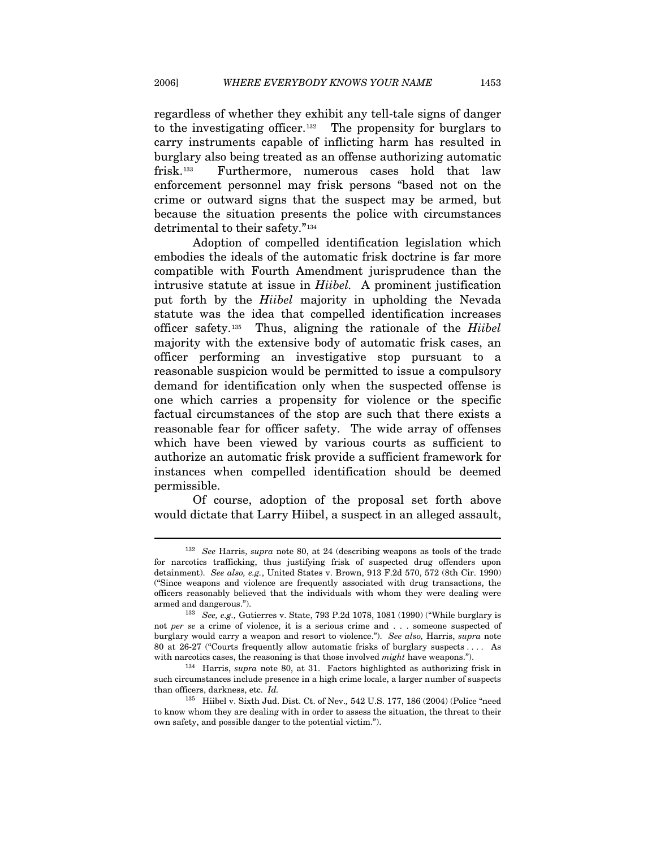regardless of whether they exhibit any tell-tale signs of danger to the investigating officer.<sup>[1](#page-33-0)32</sup> The propensity for burglars to carry instruments capable of inflicting harm has resulted in burglary also being treated as an offense authorizing automatic frisk.[1](#page-33-1)33 Furthermore, numerous cases hold that law enforcement personnel may frisk persons "based not on the crime or outward signs that the suspect may be armed, but because the situation presents the police with circumstances detrimental to their safety."[13](#page-33-2)4

Adoption of compelled identification legislation which embodies the ideals of the automatic frisk doctrine is far more compatible with Fourth Amendment jurisprudence than the intrusive statute at issue in *Hiibel.* A prominent justification put forth by the *Hiibel* majority in upholding the Nevada statute was the idea that compelled identification increases officer safety.[1](#page-33-3)35Thus, aligning the rationale of the *Hiibel*  majority with the extensive body of automatic frisk cases, an officer performing an investigative stop pursuant to a reasonable suspicion would be permitted to issue a compulsory demand for identification only when the suspected offense is one which carries a propensity for violence or the specific factual circumstances of the stop are such that there exists a reasonable fear for officer safety. The wide array of offenses which have been viewed by various courts as sufficient to authorize an automatic frisk provide a sufficient framework for instances when compelled identification should be deemed permissible.

Of course, adoption of the proposal set forth above would dictate that Larry Hiibel, a suspect in an alleged assault,

<span id="page-33-0"></span><sup>132</sup> *See* Harris, *supra* note 80, at 24 (describing weapons as tools of the trade for narcotics trafficking, thus justifying frisk of suspected drug offenders upon detainment). *See also, e.g.*, United States v. Brown, 913 F.2d 570, 572 (8th Cir. 1990) ("Since weapons and violence are frequently associated with drug transactions, the officers reasonably believed that the individuals with whom they were dealing were

<span id="page-33-1"></span>armed and dangerous."). 133 *See, e.g.,* Gutierres v. State, 793 P.2d 1078, 1081 (1990) ("While burglary is not *per se* a crime of violence, it is a serious crime and . . . someone suspected of burglary would carry a weapon and resort to violence."). *See also,* Harris, *supra* note 80 at 26-27 ("Courts frequently allow automatic frisks of burglary suspects . . . . As with narcotics cases, the reasoning is that those involved *might* have weapons.").<br><sup>134</sup> Harris, *supra* note 80, at 31. Factors highlighted as authorizing frisk in

<span id="page-33-2"></span>such circumstances include presence in a high crime locale, a larger number of suspects than officers, darkness, etc. *Id.* 

<span id="page-33-3"></span><sup>135</sup> Hiibel v. Sixth Jud. Dist. Ct. of Nev.*,* 542 U.S. 177, 186 (2004) (Police "need to know whom they are dealing with in order to assess the situation, the threat to their own safety, and possible danger to the potential victim.").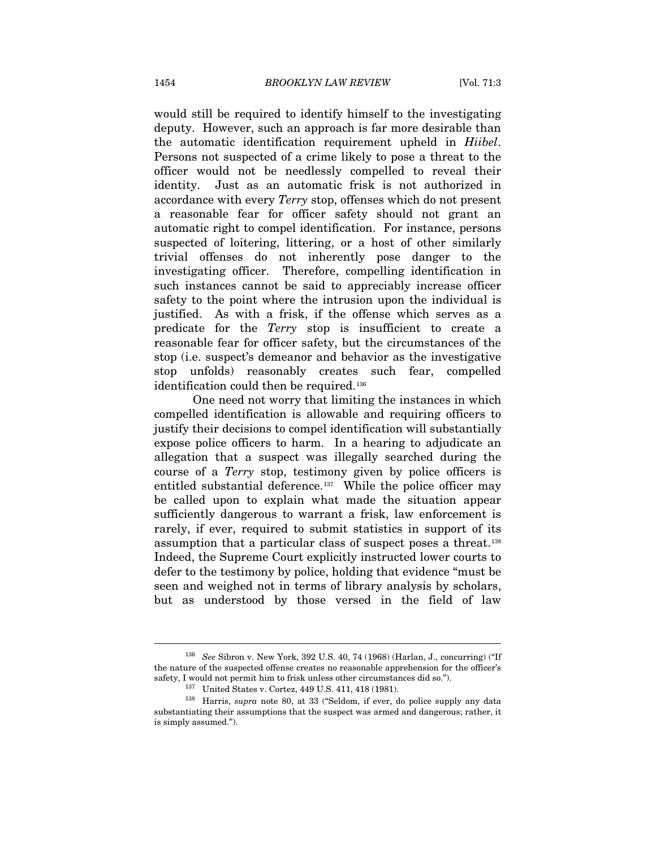would still be required to identify himself to the investigating deputy. However, such an approach is far more desirable than the automatic identification requirement upheld in *Hiibel*. Persons not suspected of a crime likely to pose a threat to the officer would not be needlessly compelled to reveal their identity. Just as an automatic frisk is not authorized in accordance with every *Terry* stop, offenses which do not present a reasonable fear for officer safety should not grant an automatic right to compel identification. For instance, persons suspected of loitering, littering, or a host of other similarly trivial offenses do not inherently pose danger to the investigating officer. Therefore, compelling identification in such instances cannot be said to appreciably increase officer safety to the point where the intrusion upon the individual is justified. As with a frisk, if the offense which serves as a predicate for the *Terry* stop is insufficient to create a reasonable fear for officer safety, but the circumstances of the stop (i.e. suspect's demeanor and behavior as the investigative stop unfolds) reasonably creates such fear, compelled identification could then be required.<sup>[13](#page-34-0)6</sup>

One need not worry that limiting the instances in which compelled identification is allowable and requiring officers to justify their decisions to compel identification will substantially expose police officers to harm. In a hearing to adjudicate an allegation that a suspect was illegally searched during the course of a *Terry* stop, testimony given by police officers is entitled substantial deference.<sup>[1](#page-34-1)37</sup> While the police officer may be called upon to explain what made the situation appear sufficiently dangerous to warrant a frisk, law enforcement is rarely, if ever, required to submit statistics in support of its assumption that a particular class of suspect poses a threat.[13](#page-34-2)8 Indeed, the Supreme Court explicitly instructed lower courts to defer to the testimony by police, holding that evidence "must be seen and weighed not in terms of library analysis by scholars, but as understood by those versed in the field of law

<span id="page-34-0"></span><sup>136</sup> *See* Sibron v. New York, 392 U.S. 40, 74 (1968) (Harlan, J., concurring) ("If the nature of the suspected offense creates no reasonable apprehension for the officer's safety, I would not permit him to frisk unless other circumstances did so."). 137 United States v. Cortez, 449 U.S. 411, 418 (1981). 138 Harris, *supra* note 80, at 33 ("Seldom, if ever, do police supply any data

<span id="page-34-2"></span><span id="page-34-1"></span>substantiating their assumptions that the suspect was armed and dangerous; rather, it is simply assumed.").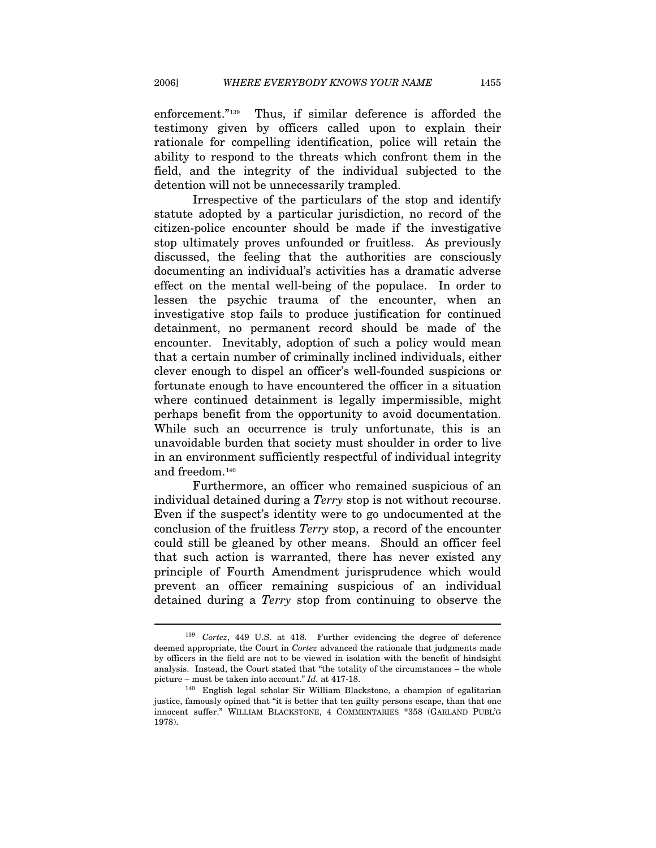enforcement."[13](#page-35-0)9 Thus, if similar deference is afforded the testimony given by officers called upon to explain their rationale for compelling identification, police will retain the ability to respond to the threats which confront them in the field, and the integrity of the individual subjected to the detention will not be unnecessarily trampled.

Irrespective of the particulars of the stop and identify statute adopted by a particular jurisdiction, no record of the citizen-police encounter should be made if the investigative stop ultimately proves unfounded or fruitless. As previously discussed, the feeling that the authorities are consciously documenting an individual's activities has a dramatic adverse effect on the mental well-being of the populace. In order to lessen the psychic trauma of the encounter, when an investigative stop fails to produce justification for continued detainment, no permanent record should be made of the encounter. Inevitably, adoption of such a policy would mean that a certain number of criminally inclined individuals, either clever enough to dispel an officer's well-founded suspicions or fortunate enough to have encountered the officer in a situation where continued detainment is legally impermissible, might perhaps benefit from the opportunity to avoid documentation. While such an occurrence is truly unfortunate, this is an unavoidable burden that society must shoulder in order to live in an environment sufficiently respectful of individual integrity and freedom.[14](#page-35-1)0

Furthermore, an officer who remained suspicious of an individual detained during a *Terry* stop is not without recourse. Even if the suspect's identity were to go undocumented at the conclusion of the fruitless *Terry* stop, a record of the encounter could still be gleaned by other means. Should an officer feel that such action is warranted, there has never existed any principle of Fourth Amendment jurisprudence which would prevent an officer remaining suspicious of an individual detained during a *Terry* stop from continuing to observe the

<span id="page-35-0"></span><sup>139</sup> *Cortez*, 449 U.S. at 418. Further evidencing the degree of deference deemed appropriate, the Court in *Cortez* advanced the rationale that judgments made by officers in the field are not to be viewed in isolation with the benefit of hindsight analysis. Instead, the Court stated that "the totality of the circumstances – the whole

<span id="page-35-1"></span>picture – must be taken into account." *Id.* at 417-18.<br><sup>140</sup> English legal scholar Sir William Blackstone, a champion of egalitarian justice, famously opined that "it is better that ten guilty persons escape, than that one innocent suffer." WILLIAM BLACKSTONE, 4 COMMENTARIES \*358 (GARLAND PUBL'G 1978).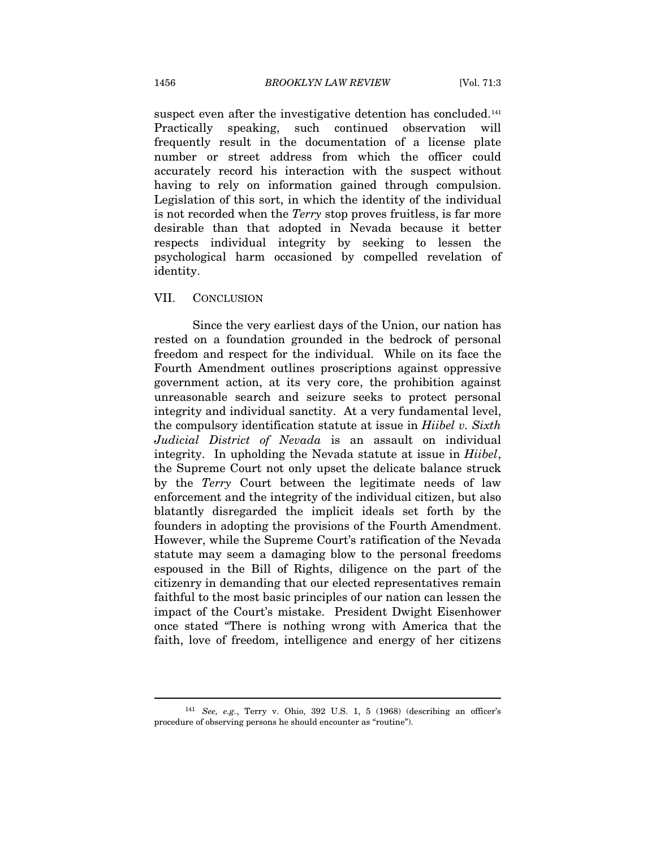suspect even after the investigative detention has concluded.<sup>[14](#page-36-0)1</sup> Practically speaking, such continued observation will frequently result in the documentation of a license plate number or street address from which the officer could accurately record his interaction with the suspect without having to rely on information gained through compulsion. Legislation of this sort, in which the identity of the individual is not recorded when the *Terry* stop proves fruitless, is far more desirable than that adopted in Nevada because it better respects individual integrity by seeking to lessen the psychological harm occasioned by compelled revelation of identity.

#### VII. CONCLUSION

Since the very earliest days of the Union, our nation has rested on a foundation grounded in the bedrock of personal freedom and respect for the individual. While on its face the Fourth Amendment outlines proscriptions against oppressive government action, at its very core, the prohibition against unreasonable search and seizure seeks to protect personal integrity and individual sanctity. At a very fundamental level, the compulsory identification statute at issue in *Hiibel v. Sixth Judicial District of Nevada* is an assault on individual integrity. In upholding the Nevada statute at issue in *Hiibel*, the Supreme Court not only upset the delicate balance struck by the *Terry* Court between the legitimate needs of law enforcement and the integrity of the individual citizen, but also blatantly disregarded the implicit ideals set forth by the founders in adopting the provisions of the Fourth Amendment. However, while the Supreme Court's ratification of the Nevada statute may seem a damaging blow to the personal freedoms espoused in the Bill of Rights, diligence on the part of the citizenry in demanding that our elected representatives remain faithful to the most basic principles of our nation can lessen the impact of the Court's mistake. President Dwight Eisenhower once stated "There is nothing wrong with America that the faith, love of freedom, intelligence and energy of her citizens

<span id="page-36-0"></span><sup>141</sup> *See, e.g.*, Terry v. Ohio, 392 U.S. 1, 5 (1968) (describing an officer's procedure of observing persons he should encounter as "routine").